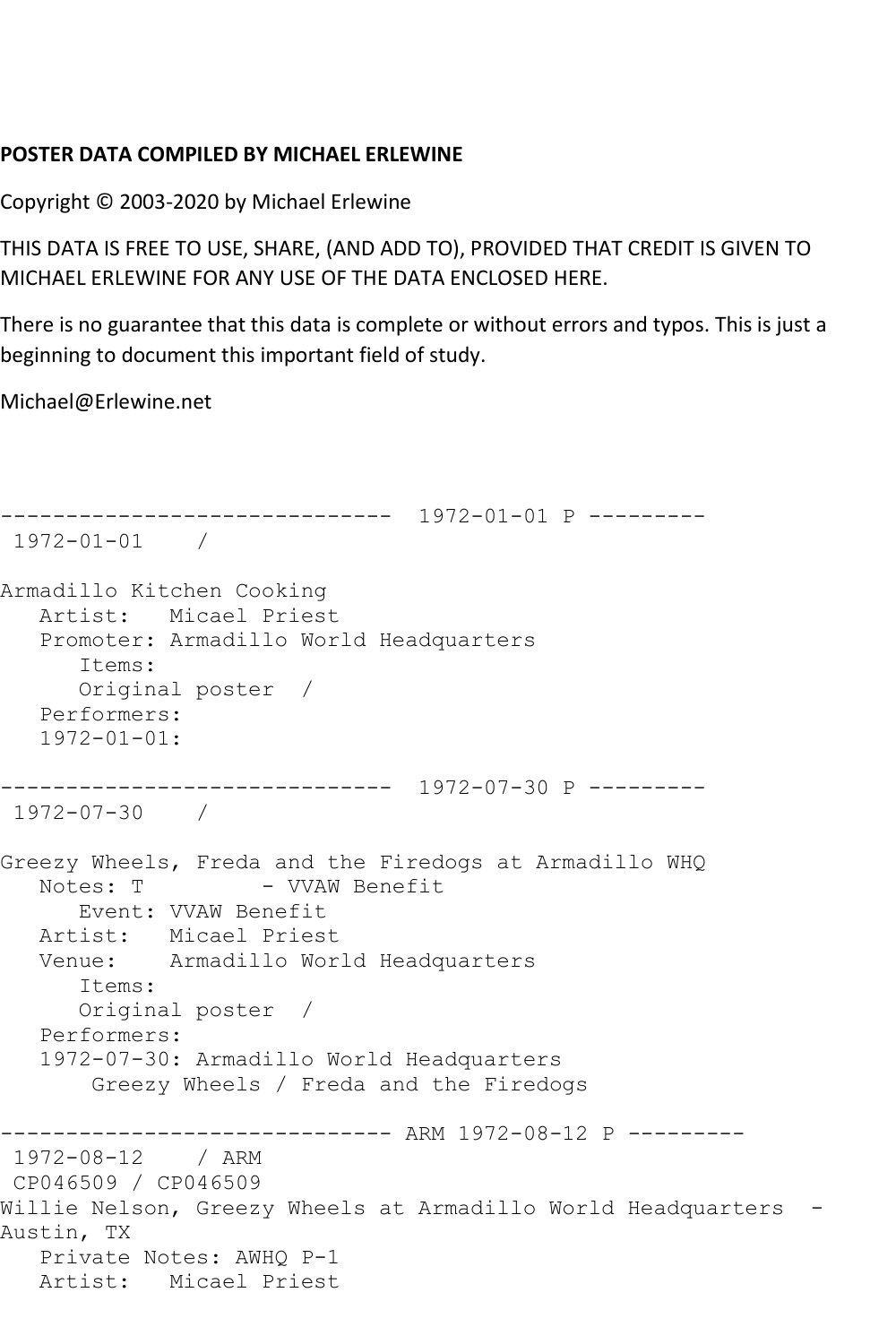## **POSTER DATA COMPILED BY MICHAEL ERLEWINE**

Copyright © 2003-2020 by Michael Erlewine

THIS DATA IS FREE TO USE, SHARE, (AND ADD TO), PROVIDED THAT CREDIT IS GIVEN TO MICHAEL ERLEWINE FOR ANY USE OF THE DATA ENCLOSED HERE.

There is no guarantee that this data is complete or without errors and typos. This is just a beginning to document this important field of study.

Michael@Erlewine.net

```
------------------------------ 1972-01-01 P ---------
1972-01-01 / 
Armadillo Kitchen Cooking
   Artist: Micael Priest
   Promoter: Armadillo World Headquarters
       Items:
       Original poster / 
   Performers:
   1972-01-01:
------------------------------ 1972-07-30 P ---------
1972-07-30 / 
Greezy Wheels, Freda and the Firedogs at Armadillo WHQ<br>Notes: T - VVAW Benefit
                    - VVAW Benefit
      Event: VVAW Benefit
 Artist: Micael Priest
 Venue: Armadillo World Headquarters
       Items:
       Original poster / 
   Performers:
    1972-07-30: Armadillo World Headquarters
        Greezy Wheels / Freda and the Firedogs
                ------------------------------ ARM 1972-08-12 P ---------
1972-08-12 / ARM 
CP046509 / CP046509
Willie Nelson, Greezy Wheels at Armadillo World Headquarters -
Austin, TX
   Private Notes: AWHQ P-1
   Artist: Micael Priest
```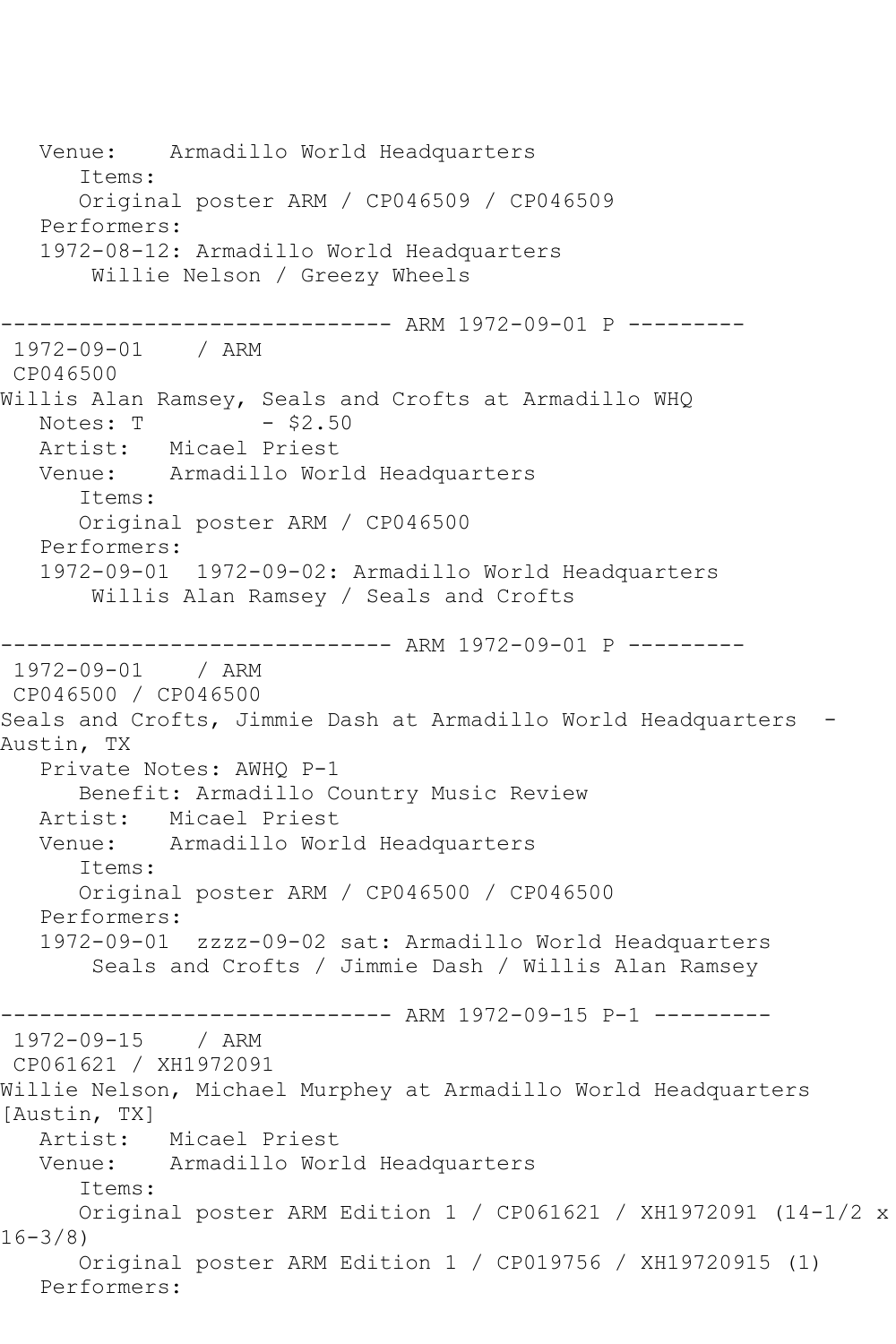Venue: Armadillo World Headquarters Items: Original poster ARM / CP046509 / CP046509 Performers: 1972-08-12: Armadillo World Headquarters Willie Nelson / Greezy Wheels ------------------------------ ARM 1972-09-01 P --------- 1972-09-01 / ARM CP046500 Willis Alan Ramsey, Seals and Crofts at Armadillo WHQ<br>Notes: T - \$2.50 Notes: T Artist: Micael Priest Venue: Armadillo World Headquarters Items: Original poster ARM / CP046500 Performers: 1972-09-01 1972-09-02: Armadillo World Headquarters Willis Alan Ramsey / Seals and Crofts ------------------------------ ARM 1972-09-01 P --------- 1972-09-01 / ARM CP046500 / CP046500 Seals and Crofts, Jimmie Dash at Armadillo World Headquarters -Austin, TX Private Notes: AWHQ P-1 Benefit: Armadillo Country Music Review Artist: Micael Priest Venue: Armadillo World Headquarters Items: Original poster ARM / CP046500 / CP046500 Performers: 1972-09-01 zzzz-09-02 sat: Armadillo World Headquarters Seals and Crofts / Jimmie Dash / Willis Alan Ramsey ------------------------------ ARM 1972-09-15 P-1 --------- 1972-09-15 / ARM CP061621 / XH1972091 Willie Nelson, Michael Murphey at Armadillo World Headquarters [Austin, TX] Artist: Micael Priest Venue: Armadillo World Headquarters Items: Original poster ARM Edition 1 / CP061621 / XH1972091 (14-1/2 x 16-3/8) Original poster ARM Edition 1 / CP019756 / XH19720915 (1) Performers: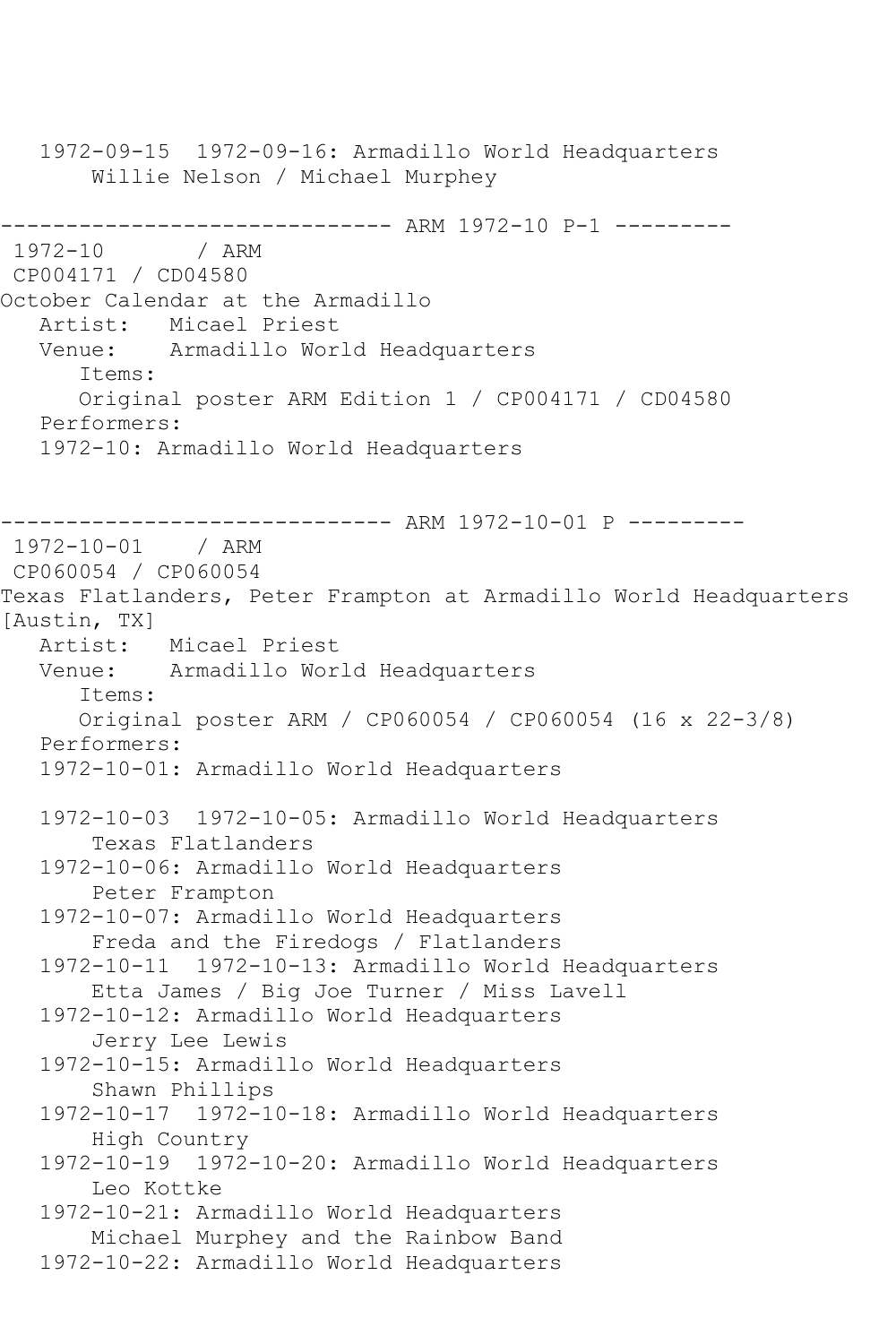1972-09-15 1972-09-16: Armadillo World Headquarters Willie Nelson / Michael Murphey ------------------------------- ARM 1972-10 P-1 ----------<br>1972-10 / ARM  $1972 - 10$ CP004171 / CD04580 October Calendar at the Armadillo Artist: Micael Priest Venue: Armadillo World Headquarters Items: Original poster ARM Edition 1 / CP004171 / CD04580 Performers: 1972-10: Armadillo World Headquarters ------------------------------ ARM 1972-10-01 P --------- 1972-10-01 / ARM CP060054 / CP060054 Texas Flatlanders, Peter Frampton at Armadillo World Headquarters [Austin, TX] Artist: Micael Priest Venue: Armadillo World Headquarters Items: Original poster ARM / CP060054 / CP060054 (16 x 22-3/8) Performers: 1972-10-01: Armadillo World Headquarters 1972-10-03 1972-10-05: Armadillo World Headquarters Texas Flatlanders 1972-10-06: Armadillo World Headquarters Peter Frampton 1972-10-07: Armadillo World Headquarters Freda and the Firedogs / Flatlanders 1972-10-11 1972-10-13: Armadillo World Headquarters Etta James / Big Joe Turner / Miss Lavell 1972-10-12: Armadillo World Headquarters Jerry Lee Lewis 1972-10-15: Armadillo World Headquarters Shawn Phillips 1972-10-17 1972-10-18: Armadillo World Headquarters High Country 1972-10-19 1972-10-20: Armadillo World Headquarters Leo Kottke 1972-10-21: Armadillo World Headquarters Michael Murphey and the Rainbow Band 1972-10-22: Armadillo World Headquarters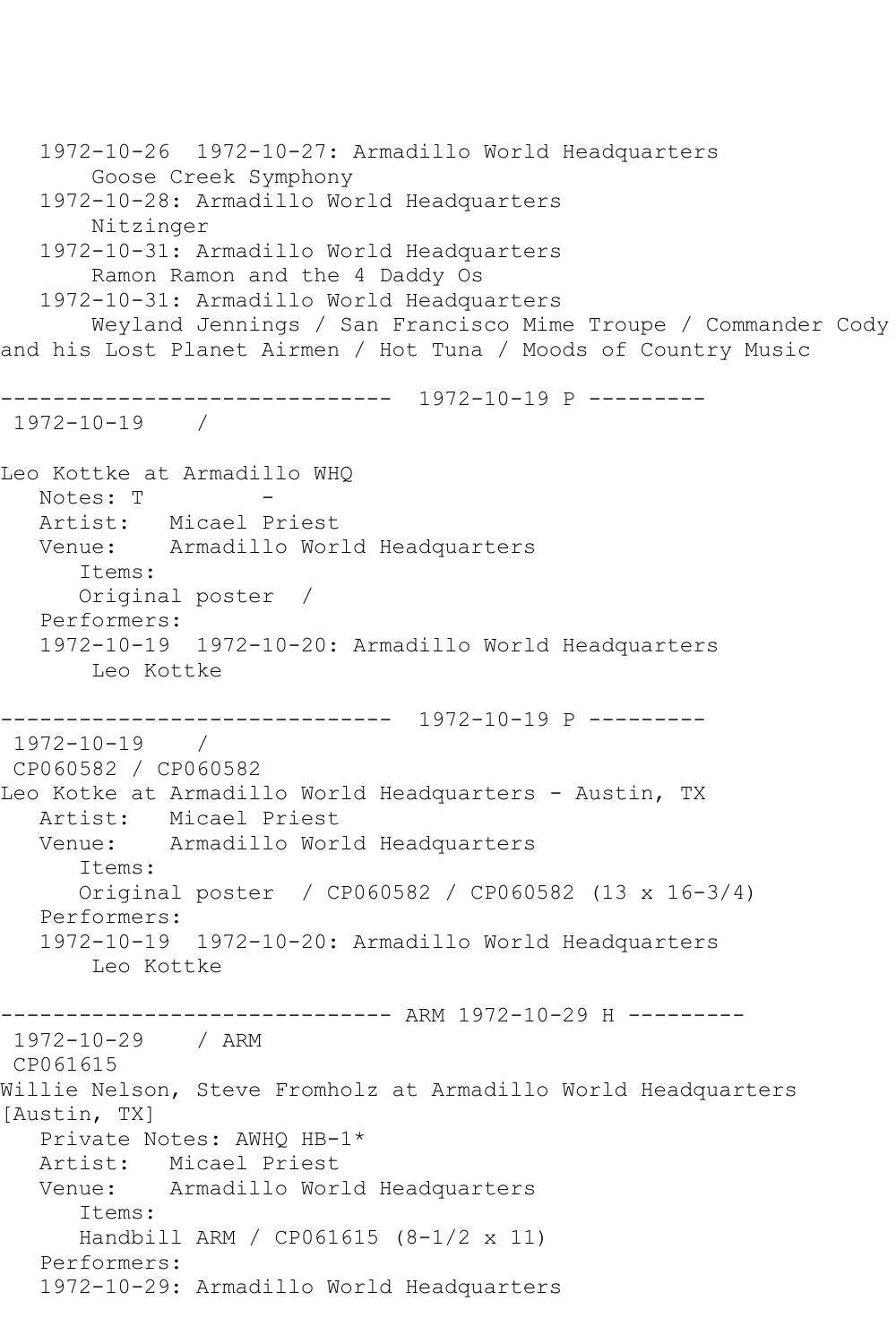```
 1972-10-26 1972-10-27: Armadillo World Headquarters
       Goose Creek Symphony
   1972-10-28: Armadillo World Headquarters
       Nitzinger
   1972-10-31: Armadillo World Headquarters
       Ramon Ramon and the 4 Daddy Os
   1972-10-31: Armadillo World Headquarters
       Weyland Jennings / San Francisco Mime Troupe / Commander Cody 
and his Lost Planet Airmen / Hot Tuna / Moods of Country Music
------------------------------ 1972-10-19 P ---------
1972-10-19 / 
Leo Kottke at Armadillo WHQ
  Notes: T
   Artist: Micael Priest
   Venue: Armadillo World Headquarters
      Items:
      Original poster / 
   Performers:
   1972-10-19 1972-10-20: Armadillo World Headquarters
       Leo Kottke
------------------------------ 1972-10-19 P ---------
1972-10-19 / 
CP060582 / CP060582
Leo Kotke at Armadillo World Headquarters - Austin, TX
   Artist: Micael Priest
   Venue: Armadillo World Headquarters
      Items:
      Original poster / CP060582 / CP060582 (13 x 16-3/4)
   Performers:
   1972-10-19 1972-10-20: Armadillo World Headquarters
       Leo Kottke
------------------------------ ARM 1972-10-29 H ---------
1972-10-29 / ARM 
CP061615
Willie Nelson, Steve Fromholz at Armadillo World Headquarters 
[Austin, TX]
   Private Notes: AWHQ HB-1*
   Artist: Micael Priest
   Venue: Armadillo World Headquarters
      Items:
      Handbill ARM / CP061615 (8-1/2 x 11)
   Performers:
   1972-10-29: Armadillo World Headquarters
```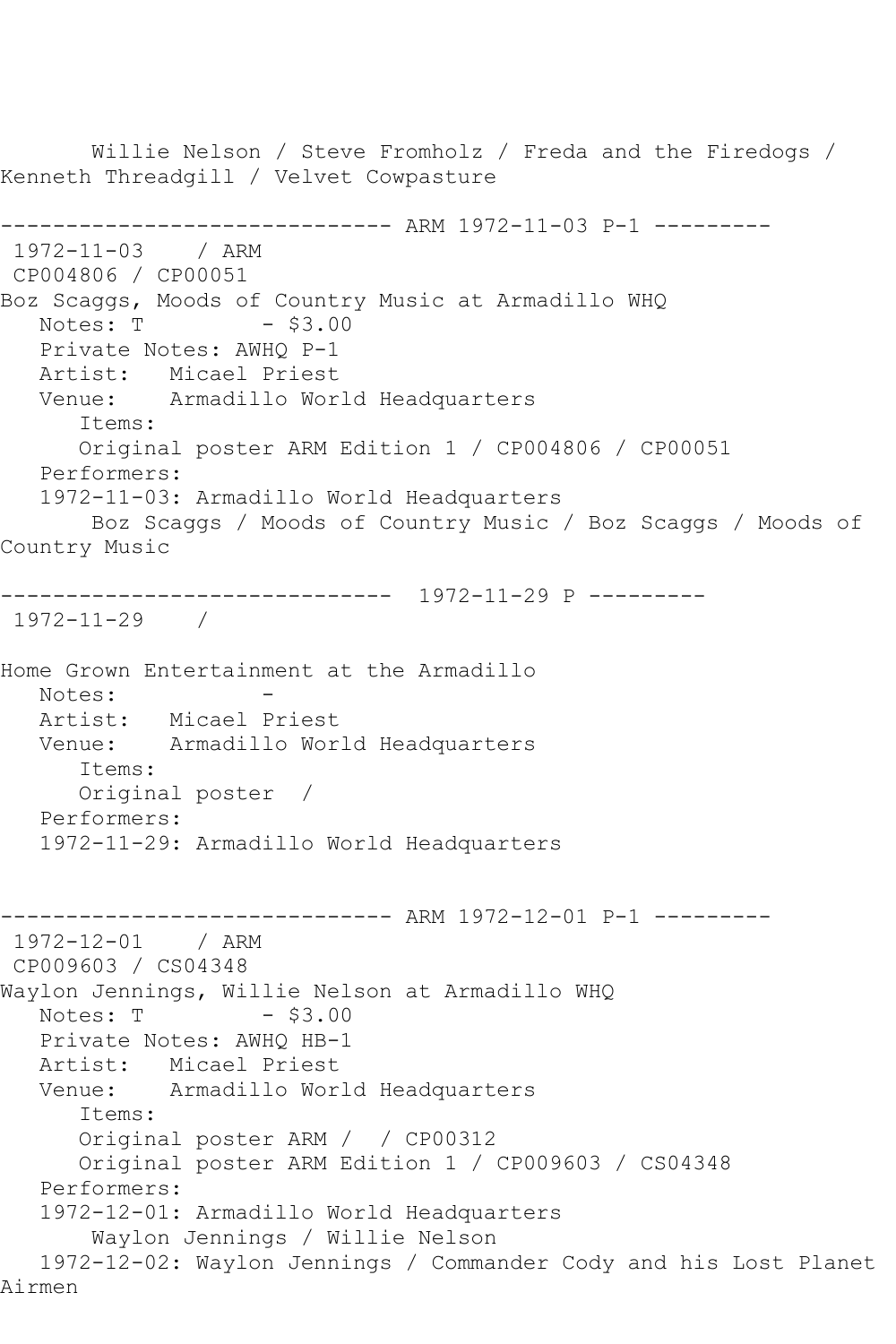Willie Nelson / Steve Fromholz / Freda and the Firedogs / Kenneth Threadgill / Velvet Cowpasture ------------------------------ ARM 1972-11-03 P-1 --------- 1972-11-03 / ARM CP004806 / CP00051 Boz Scaggs, Moods of Country Music at Armadillo WHQ  $Notes: T$   $- $3.00$  Private Notes: AWHQ P-1 Artist: Micael Priest Venue: Armadillo World Headquarters Items: Original poster ARM Edition 1 / CP004806 / CP00051 Performers: 1972-11-03: Armadillo World Headquarters Boz Scaggs / Moods of Country Music / Boz Scaggs / Moods of Country Music ------------------------------ 1972-11-29 P --------- 1972-11-29 / Home Grown Entertainment at the Armadillo Notes:<br>Artist: Micael Priest Venue: Armadillo World Headquarters Items: Original poster / Performers: 1972-11-29: Armadillo World Headquarters ------------------------------ ARM 1972-12-01 P-1 --------- 1972-12-01 / ARM CP009603 / CS04348 Waylon Jennings, Willie Nelson at Armadillo WHQ Notes: T - \$3.00 Private Notes: AWHQ HB-1 Artist: Micael Priest Venue: Armadillo World Headquarters Items: Original poster ARM / / CP00312 Original poster ARM Edition 1 / CP009603 / CS04348 Performers: 1972-12-01: Armadillo World Headquarters Waylon Jennings / Willie Nelson 1972-12-02: Waylon Jennings / Commander Cody and his Lost Planet Airmen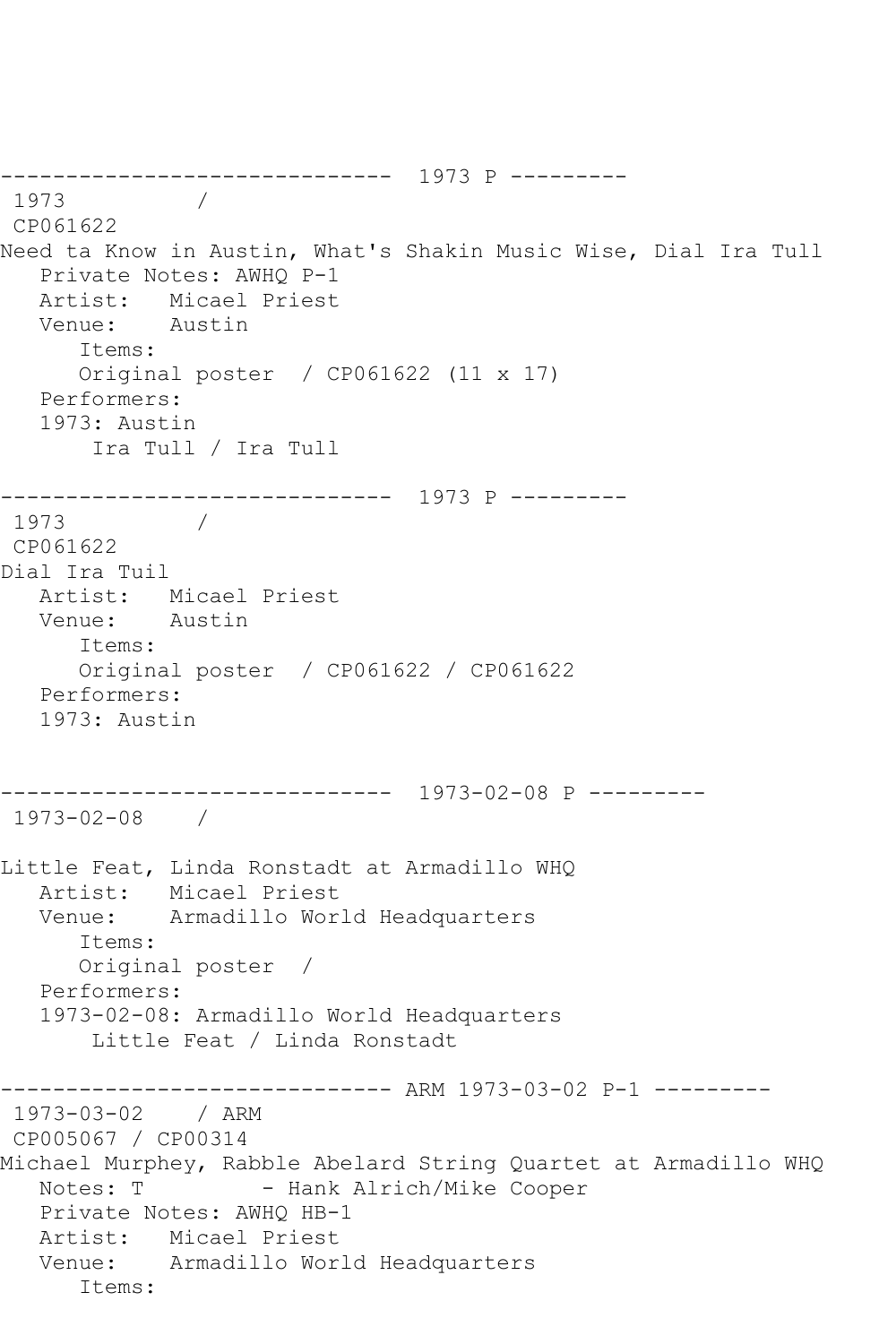```
------------------------------ 1973 P ---------
1973 / 
CP061622
Need ta Know in Austin, What's Shakin Music Wise, Dial Ira Tull
   Private Notes: AWHQ P-1
   Artist: Micael Priest
   Venue: Austin
      Items:
      Original poster / CP061622 (11 x 17)
   Performers:
   1973: Austin
       Ira Tull / Ira Tull
------------------------------ 1973 P ---------
1973 / 
CP061622
Dial Ira Tuil
  Artist: Micael Priest<br>Venue: Austin
  Venue:
      Items:
      Original poster / CP061622 / CP061622
   Performers:
   1973: Austin
------------------------------ 1973-02-08 P ---------
1973-02-08 / 
Little Feat, Linda Ronstadt at Armadillo WHQ
   Artist: Micael Priest
   Venue: Armadillo World Headquarters
      Items:
      Original poster / 
   Performers:
   1973-02-08: Armadillo World Headquarters
       Little Feat / Linda Ronstadt
------------------------------ ARM 1973-03-02 P-1 ---------
1973-03-02 / ARM 
CP005067 / CP00314
Michael Murphey, Rabble Abelard String Quartet at Armadillo WHQ
  Notes: T - Hank Alrich/Mike Cooper
   Private Notes: AWHQ HB-1
   Artist: Micael Priest
   Venue: Armadillo World Headquarters
      Items:
```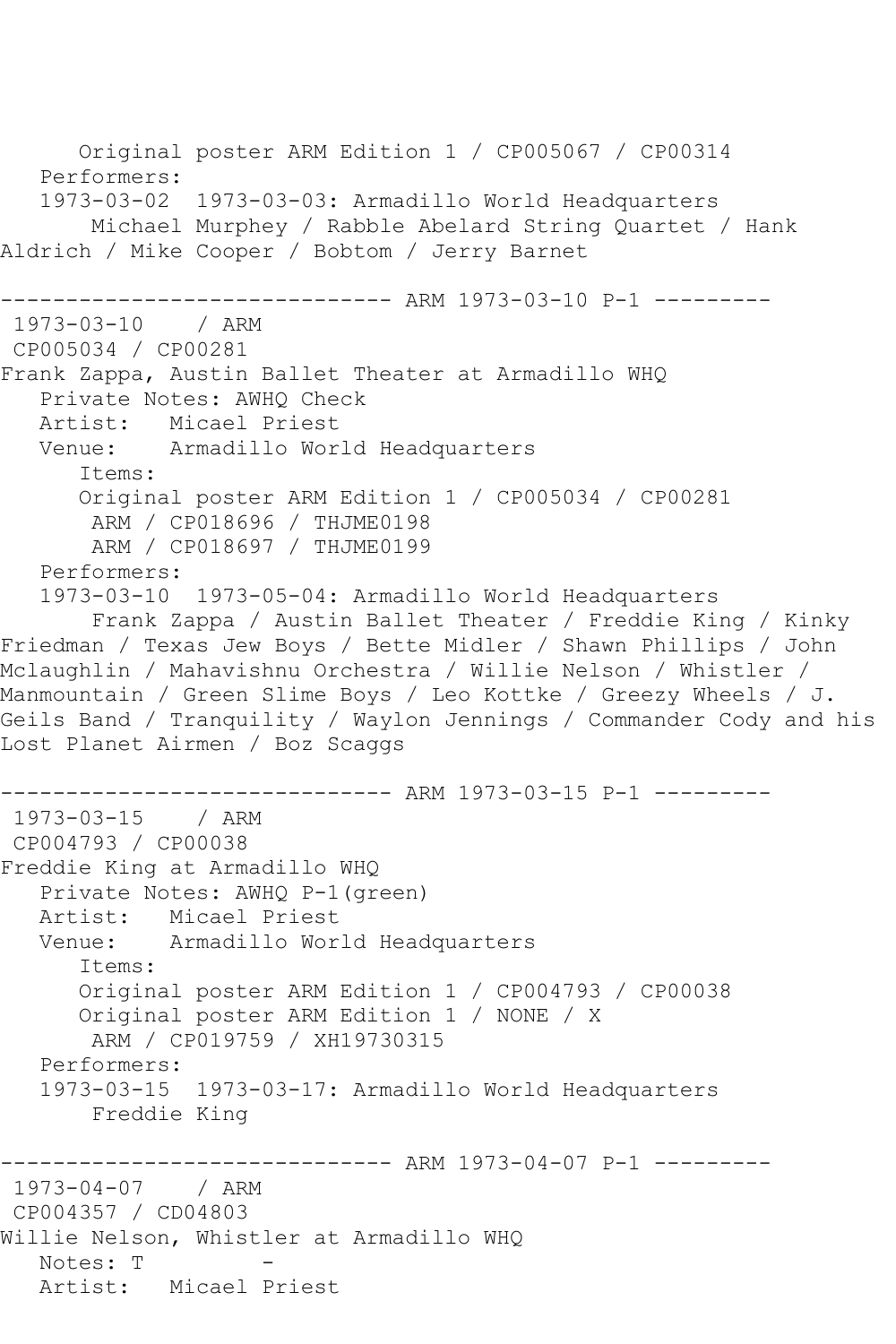Original poster ARM Edition 1 / CP005067 / CP00314 Performers: 1973-03-02 1973-03-03: Armadillo World Headquarters Michael Murphey / Rabble Abelard String Quartet / Hank Aldrich / Mike Cooper / Bobtom / Jerry Barnet ------------------------------ ARM 1973-03-10 P-1 --------- 1973-03-10 / ARM CP005034 / CP00281 Frank Zappa, Austin Ballet Theater at Armadillo WHQ Private Notes: AWHQ Check Artist: Micael Priest<br>Venue: Armadillo Wor Armadillo World Headquarters Items: Original poster ARM Edition 1 / CP005034 / CP00281 ARM / CP018696 / THJME0198 ARM / CP018697 / THJME0199 Performers: 1973-03-10 1973-05-04: Armadillo World Headquarters Frank Zappa / Austin Ballet Theater / Freddie King / Kinky Friedman / Texas Jew Boys / Bette Midler / Shawn Phillips / John Mclaughlin / Mahavishnu Orchestra / Willie Nelson / Whistler / Manmountain / Green Slime Boys / Leo Kottke / Greezy Wheels / J. Geils Band / Tranquility / Waylon Jennings / Commander Cody and his Lost Planet Airmen / Boz Scaggs ------------------------------ ARM 1973-03-15 P-1 --------- 1973-03-15 / ARM CP004793 / CP00038 Freddie King at Armadillo WHQ Private Notes: AWHQ P-1(green) Artist: Micael Priest Venue: Armadillo World Headquarters Items: Original poster ARM Edition 1 / CP004793 / CP00038 Original poster ARM Edition 1 / NONE / X ARM / CP019759 / XH19730315 Performers: 1973-03-15 1973-03-17: Armadillo World Headquarters Freddie King -------------- ARM 1973-04-07 P-1 ---------1973-04-07 / ARM CP004357 / CD04803 Willie Nelson, Whistler at Armadillo WHQ Notes: T Artist: Micael Priest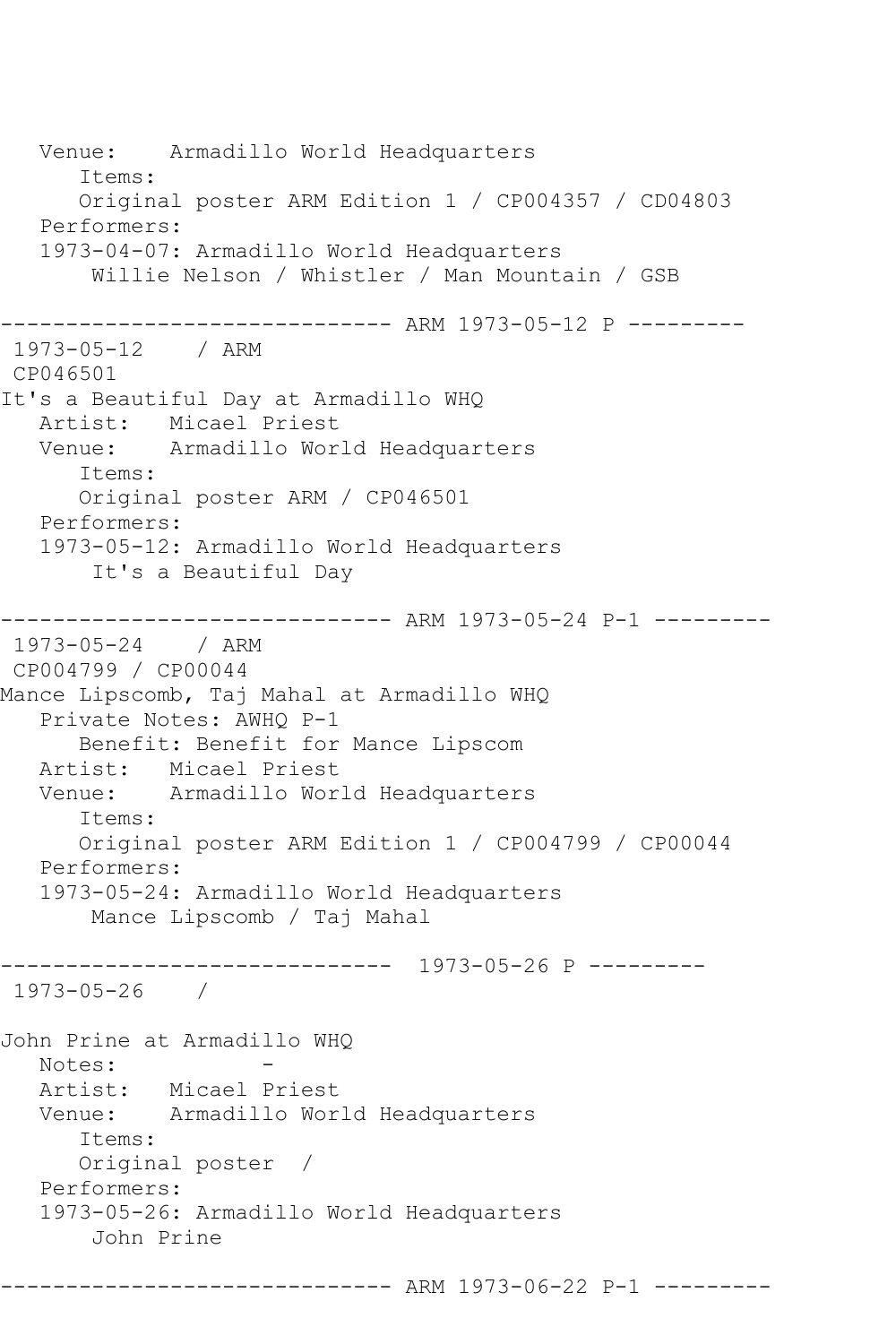Venue: Armadillo World Headquarters Items: Original poster ARM Edition 1 / CP004357 / CD04803 Performers: 1973-04-07: Armadillo World Headquarters Willie Nelson / Whistler / Man Mountain / GSB ------------------------------ ARM 1973-05-12 P --------- 1973-05-12 / ARM CP046501 It's a Beautiful Day at Armadillo WHQ Artist: Micael Priest<br>Venue: Armadillo Wor Armadillo World Headquarters Items: Original poster ARM / CP046501 Performers: 1973-05-12: Armadillo World Headquarters It's a Beautiful Day ------------------------------- ARM 1973-05-24 P-1 ----------<br>1973-05-24 / ARM  $1973 - 05 - 24$ CP004799 / CP00044 Mance Lipscomb, Taj Mahal at Armadillo WHQ Private Notes: AWHQ P-1 Benefit: Benefit for Mance Lipscom Artist: Micael Priest Venue: Armadillo World Headquarters Items: Original poster ARM Edition 1 / CP004799 / CP00044 Performers: 1973-05-24: Armadillo World Headquarters Mance Lipscomb / Taj Mahal ------------------------------ 1973-05-26 P --------- 1973-05-26 / John Prine at Armadillo WHQ Notes: Artist: Micael Priest Venue: Armadillo World Headquarters Items: Original poster / Performers: 1973-05-26: Armadillo World Headquarters John Prine

------------------------------ ARM 1973-06-22 P-1 ---------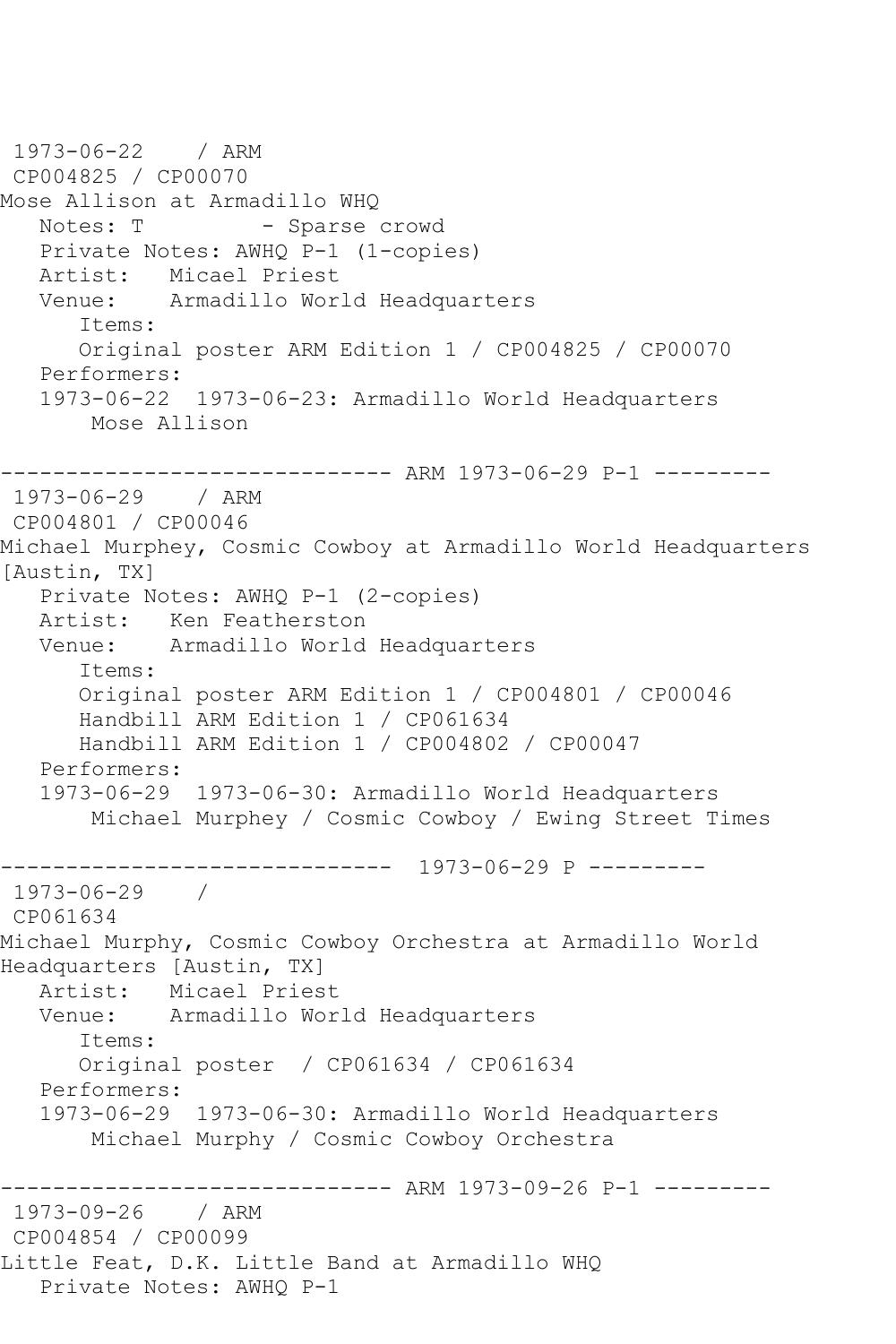1973-06-22 / ARM CP004825 / CP00070 Mose Allison at Armadillo WHQ Notes: T - Sparse crowd Private Notes: AWHQ P-1 (1-copies) Artist: Micael Priest<br>Venue: Armadillo Wor Armadillo World Headquarters Items: Original poster ARM Edition 1 / CP004825 / CP00070 Performers: 1973-06-22 1973-06-23: Armadillo World Headquarters Mose Allison ------------------------------ ARM 1973-06-29 P-1 --------- 1973-06-29 / ARM CP004801 / CP00046 Michael Murphey, Cosmic Cowboy at Armadillo World Headquarters [Austin, TX] Private Notes: AWHQ P-1 (2-copies) Artist: Ken Featherston Venue: Armadillo World Headquarters Items: Original poster ARM Edition 1 / CP004801 / CP00046 Handbill ARM Edition 1 / CP061634 Handbill ARM Edition 1 / CP004802 / CP00047 Performers: 1973-06-29 1973-06-30: Armadillo World Headquarters Michael Murphey / Cosmic Cowboy / Ewing Street Times ------------------------------ 1973-06-29 P --------- 1973-06-29 / CP061634 Michael Murphy, Cosmic Cowboy Orchestra at Armadillo World Headquarters [Austin, TX] Artist: Micael Priest Venue: Armadillo World Headquarters Items: Original poster / CP061634 / CP061634 Performers: 1973-06-29 1973-06-30: Armadillo World Headquarters Michael Murphy / Cosmic Cowboy Orchestra ------------------------------ ARM 1973-09-26 P-1 --------- 1973-09-26 / ARM CP004854 / CP00099 Little Feat, D.K. Little Band at Armadillo WHQ Private Notes: AWHQ P-1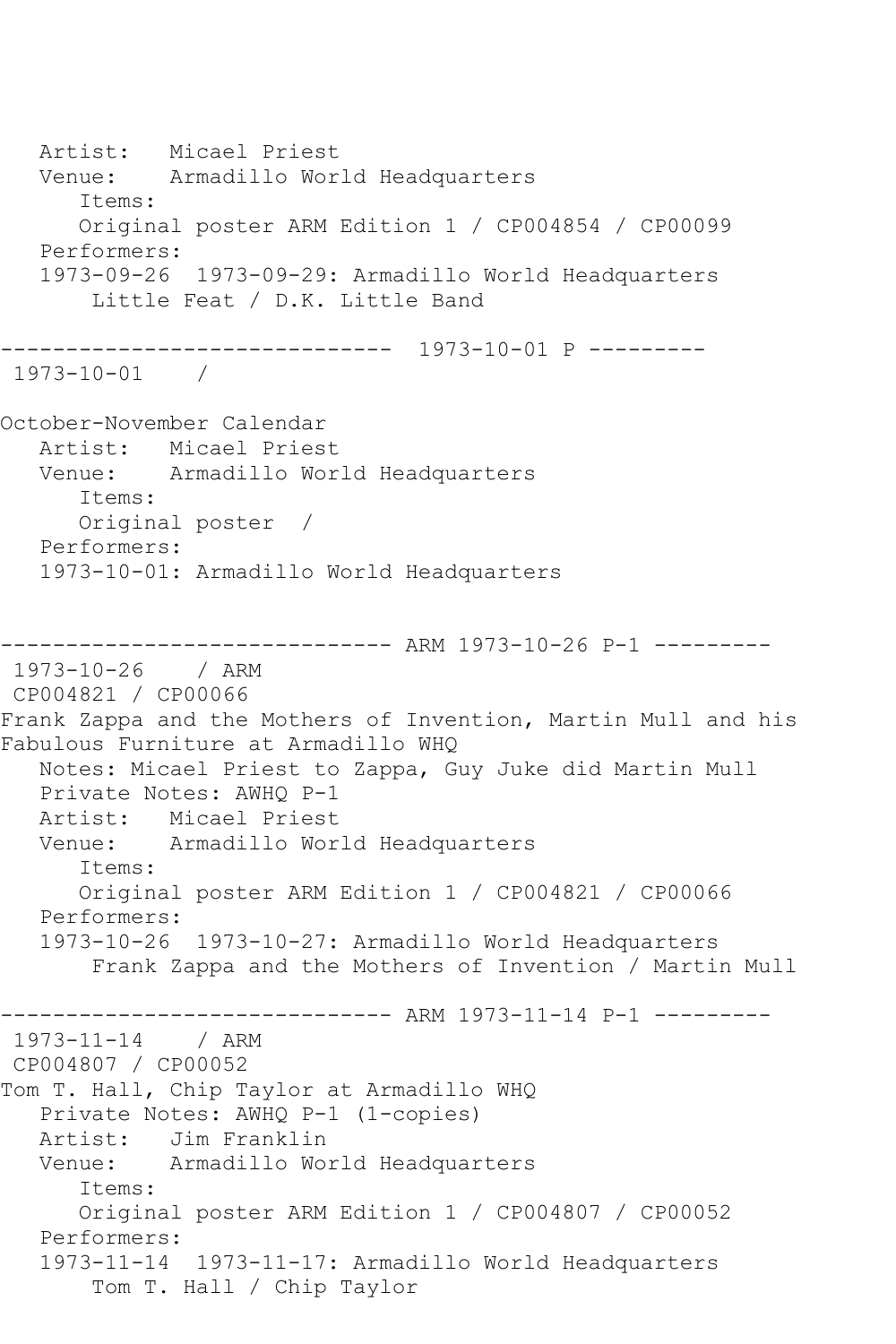Artist: Micael Priest Venue: Armadillo World Headquarters Items: Original poster ARM Edition 1 / CP004854 / CP00099 Performers: 1973-09-26 1973-09-29: Armadillo World Headquarters Little Feat / D.K. Little Band ------------------------------ 1973-10-01 P --------- 1973-10-01 / October-November Calendar Artist: Micael Priest Venue: Armadillo World Headquarters Items: Original poster / Performers: 1973-10-01: Armadillo World Headquarters ------------------------------ ARM 1973-10-26 P-1 --------- 1973-10-26 / ARM CP004821 / CP00066 Frank Zappa and the Mothers of Invention, Martin Mull and his Fabulous Furniture at Armadillo WHQ Notes: Micael Priest to Zappa, Guy Juke did Martin Mull Private Notes: AWHQ P-1 Artist: Micael Priest Venue: Armadillo World Headquarters Items: Original poster ARM Edition 1 / CP004821 / CP00066 Performers: 1973-10-26 1973-10-27: Armadillo World Headquarters Frank Zappa and the Mothers of Invention / Martin Mull ------------------------------ ARM 1973-11-14 P-1 --------- 1973-11-14 / ARM CP004807 / CP00052 Tom T. Hall, Chip Taylor at Armadillo WHQ Private Notes: AWHQ P-1 (1-copies) Artist: Jim Franklin Venue: Armadillo World Headquarters Items: Original poster ARM Edition 1 / CP004807 / CP00052 Performers: 1973-11-14 1973-11-17: Armadillo World Headquarters Tom T. Hall / Chip Taylor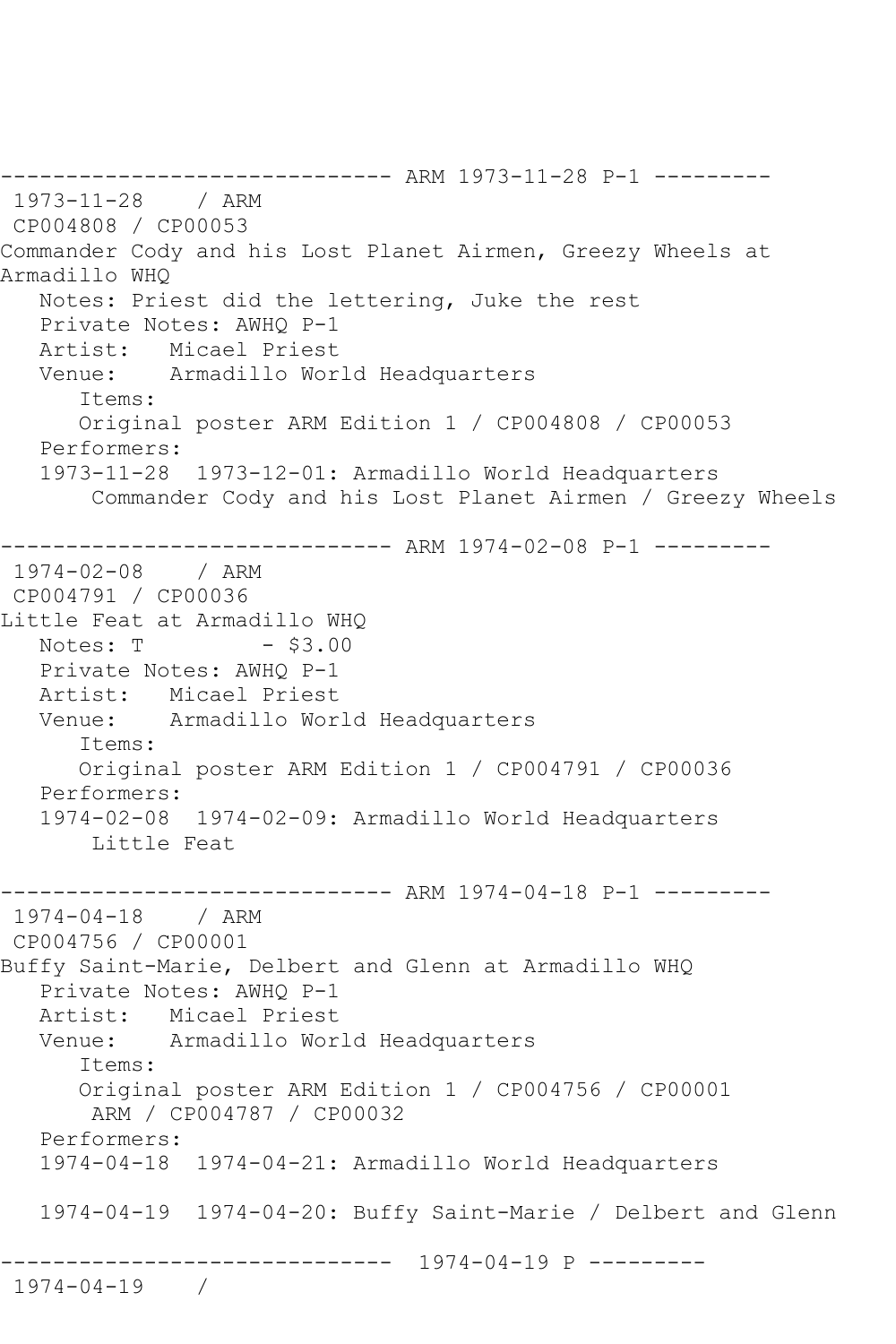------------------------------ ARM 1973-11-28 P-1 --------- 1973-11-28 / ARM CP004808 / CP00053 Commander Cody and his Lost Planet Airmen, Greezy Wheels at Armadillo WHQ Notes: Priest did the lettering, Juke the rest Private Notes: AWHQ P-1 Artist: Micael Priest Venue: Armadillo World Headquarters Items: Original poster ARM Edition 1 / CP004808 / CP00053 Performers: 1973-11-28 1973-12-01: Armadillo World Headquarters Commander Cody and his Lost Planet Airmen / Greezy Wheels ------------------------------ ARM 1974-02-08 P-1 --------- 1974-02-08 / ARM CP004791 / CP00036 Little Feat at Armadillo WHQ Notes: T - \$3.00 Private Notes: AWHQ P-1 Artist: Micael Priest Venue: Armadillo World Headquarters Items: Original poster ARM Edition 1 / CP004791 / CP00036 Performers: 1974-02-08 1974-02-09: Armadillo World Headquarters Little Feat ------------------------------ ARM 1974-04-18 P-1 --------- 1974-04-18 / ARM CP004756 / CP00001 Buffy Saint-Marie, Delbert and Glenn at Armadillo WHQ Private Notes: AWHQ P-1 Artist: Micael Priest Venue: Armadillo World Headquarters Items: Original poster ARM Edition 1 / CP004756 / CP00001 ARM / CP004787 / CP00032 Performers: 1974-04-18 1974-04-21: Armadillo World Headquarters 1974-04-19 1974-04-20: Buffy Saint-Marie / Delbert and Glenn ------------------------------ 1974-04-19 P --------- 1974-04-19 /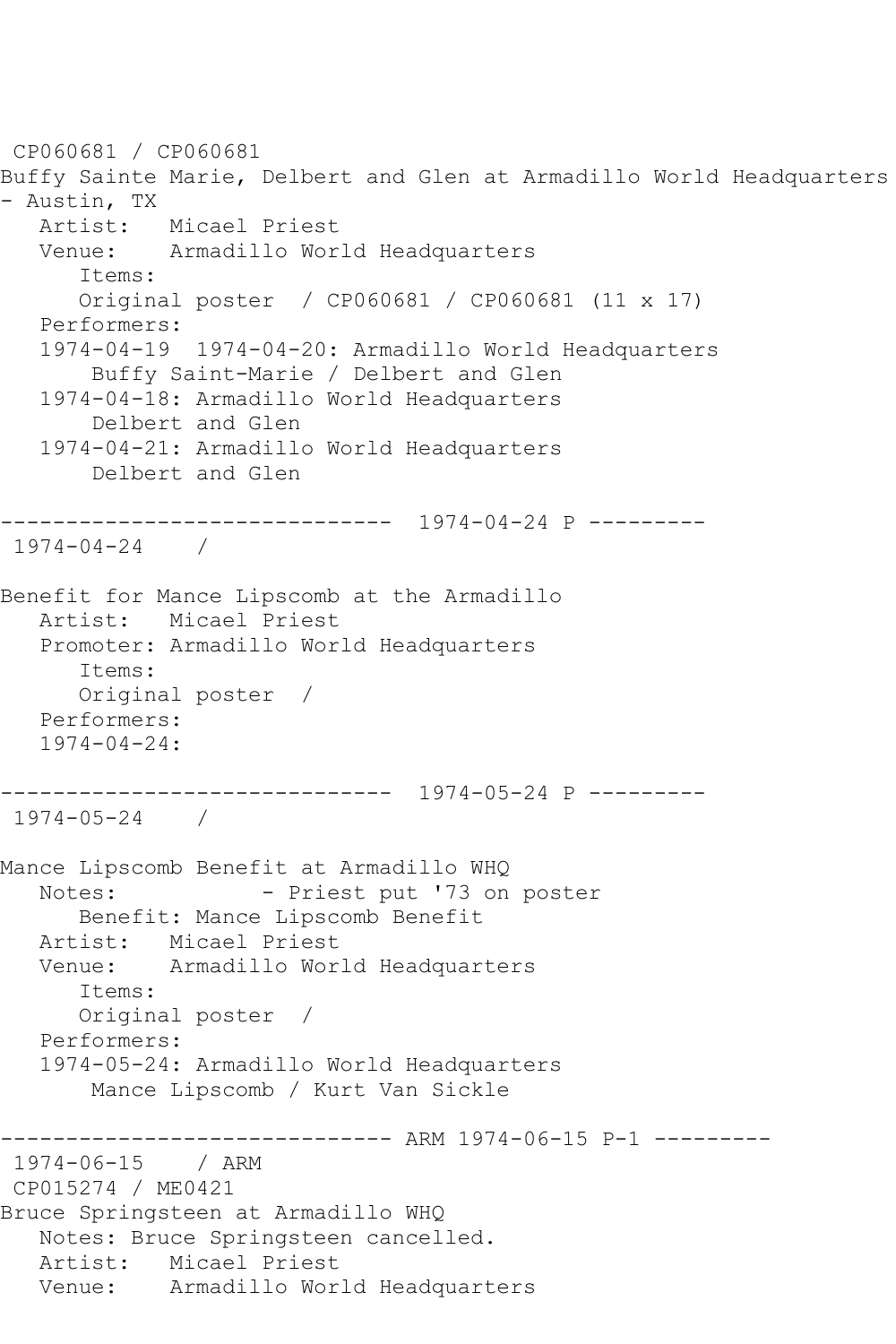```
CP060681 / CP060681
Buffy Sainte Marie, Delbert and Glen at Armadillo World Headquarters 
- Austin, TX
   Artist: Micael Priest
   Venue: Armadillo World Headquarters
       Items:
       Original poster / CP060681 / CP060681 (11 x 17)
   Performers:
   1974-04-19 1974-04-20: Armadillo World Headquarters
        Buffy Saint-Marie / Delbert and Glen
    1974-04-18: Armadillo World Headquarters
        Delbert and Glen
    1974-04-21: Armadillo World Headquarters
        Delbert and Glen
   ------------------------------ 1974-04-24 P ---------
1974-04-24 / 
Benefit for Mance Lipscomb at the Armadillo
   Artist: Micael Priest
   Promoter: Armadillo World Headquarters
       Items:
       Original poster / 
   Performers:
   1974-04-24:
------------------------------ 1974-05-24 P ---------
1974-05-24 / 
Mance Lipscomb Benefit at Armadillo WHQ
  Notes: - Priest put '73 on poster
       Benefit: Mance Lipscomb Benefit
  Artist: Micael Priest<br>Venue: Armadillo Wor
            Armadillo World Headquarters
       Items:
       Original poster / 
   Performers:
   1974-05-24: Armadillo World Headquarters
        Mance Lipscomb / Kurt Van Sickle
                    ------------------------------ ARM 1974-06-15 P-1 ---------
1974-06-15 / ARM 
CP015274 / ME0421
Bruce Springsteen at Armadillo WHQ
   Notes: Bruce Springsteen cancelled.
   Artist: Micael Priest
   Venue: Armadillo World Headquarters
```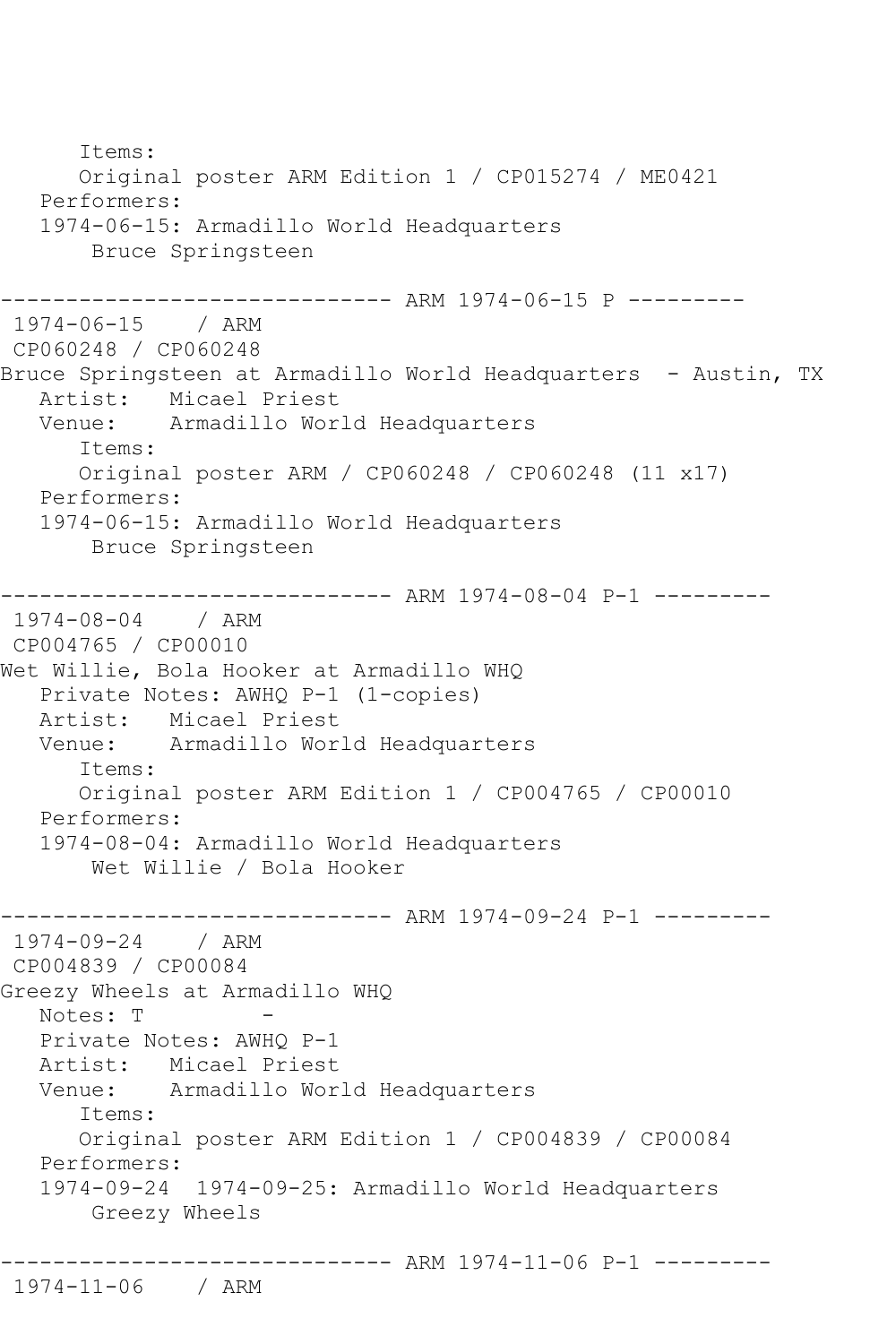```
 Items:
      Original poster ARM Edition 1 / CP015274 / ME0421
   Performers:
   1974-06-15: Armadillo World Headquarters
        Bruce Springsteen
------------------------------ ARM 1974-06-15 P ---------
1974-06-15 / ARM 
CP060248 / CP060248
Bruce Springsteen at Armadillo World Headquarters - Austin, TX
 Artist: Micael Priest
 Venue: Armadillo World Headquarters
       Items:
       Original poster ARM / CP060248 / CP060248 (11 x17)
   Performers:
   1974-06-15: Armadillo World Headquarters
        Bruce Springsteen
                  ------------ ARM 1974-08-04 P-1 ---------
1974-08-04 / ARM 
CP004765 / CP00010
Wet Willie, Bola Hooker at Armadillo WHQ
   Private Notes: AWHQ P-1 (1-copies)
   Artist: Micael Priest
   Venue: Armadillo World Headquarters
       Items:
       Original poster ARM Edition 1 / CP004765 / CP00010
   Performers:
   1974-08-04: Armadillo World Headquarters
        Wet Willie / Bola Hooker
                ------------------------------ ARM 1974-09-24 P-1 ---------
1974-09-24 / ARM 
CP004839 / CP00084
Greezy Wheels at Armadillo WHQ
  Notes: T
   Private Notes: AWHQ P-1
   Artist: Micael Priest
   Venue: Armadillo World Headquarters
       Items:
      Original poster ARM Edition 1 / CP004839 / CP00084
   Performers:
   1974-09-24 1974-09-25: Armadillo World Headquarters
        Greezy Wheels
------------------------------ ARM 1974-11-06 P-1 ---------
```

```
1974-11-06 / ARM
```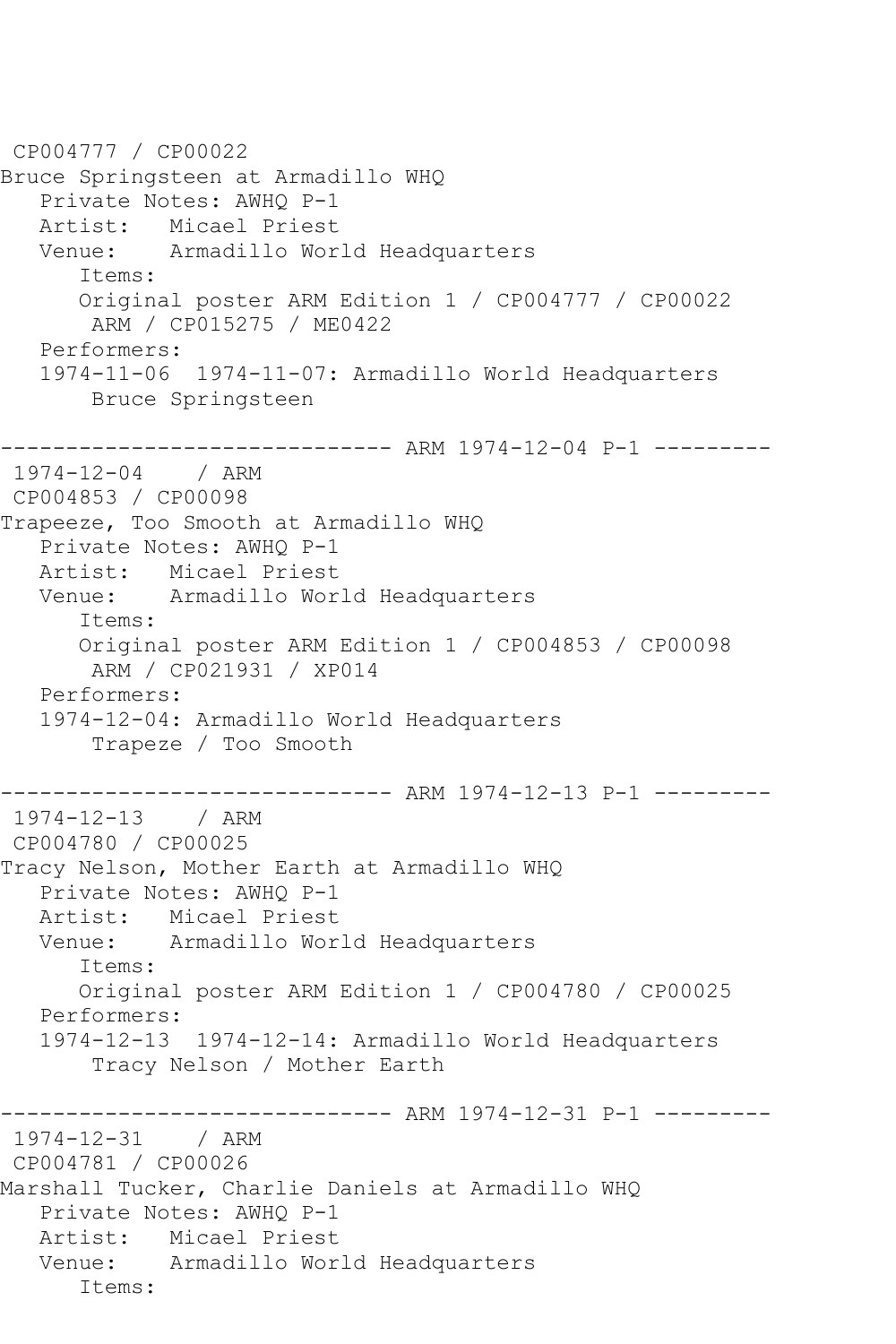CP004777 / CP00022 Bruce Springsteen at Armadillo WHQ Private Notes: AWHQ P-1 Artist: Micael Priest<br>Venue: Armadillo Wor Armadillo World Headquarters Items: Original poster ARM Edition 1 / CP004777 / CP00022 ARM / CP015275 / ME0422 Performers: 1974-11-06 1974-11-07: Armadillo World Headquarters Bruce Springsteen ------------------------------ ARM 1974-12-04 P-1 --------- 1974-12-04 / ARM CP004853 / CP00098 Trapeeze, Too Smooth at Armadillo WHQ Private Notes: AWHQ P-1 Artist: Micael Priest Venue: Armadillo World Headquarters Items: Original poster ARM Edition 1 / CP004853 / CP00098 ARM / CP021931 / XP014 Performers: 1974-12-04: Armadillo World Headquarters Trapeze / Too Smooth ------------------------------ ARM 1974-12-13 P-1 --------- 1974-12-13 / ARM CP004780 / CP00025 Tracy Nelson, Mother Earth at Armadillo WHQ Private Notes: AWHQ P-1 Artist: Micael Priest Venue: Armadillo World Headquarters Items: Original poster ARM Edition 1 / CP004780 / CP00025 Performers: 1974-12-13 1974-12-14: Armadillo World Headquarters Tracy Nelson / Mother Earth ------------------------------- ARM 1974-12-31 P-1 ----------<br>1974-12-31 / ARM  $1974 - 12 - 31$ CP004781 / CP00026 Marshall Tucker, Charlie Daniels at Armadillo WHQ Private Notes: AWHQ P-1 Artist: Micael Priest Venue: Armadillo World Headquarters Items: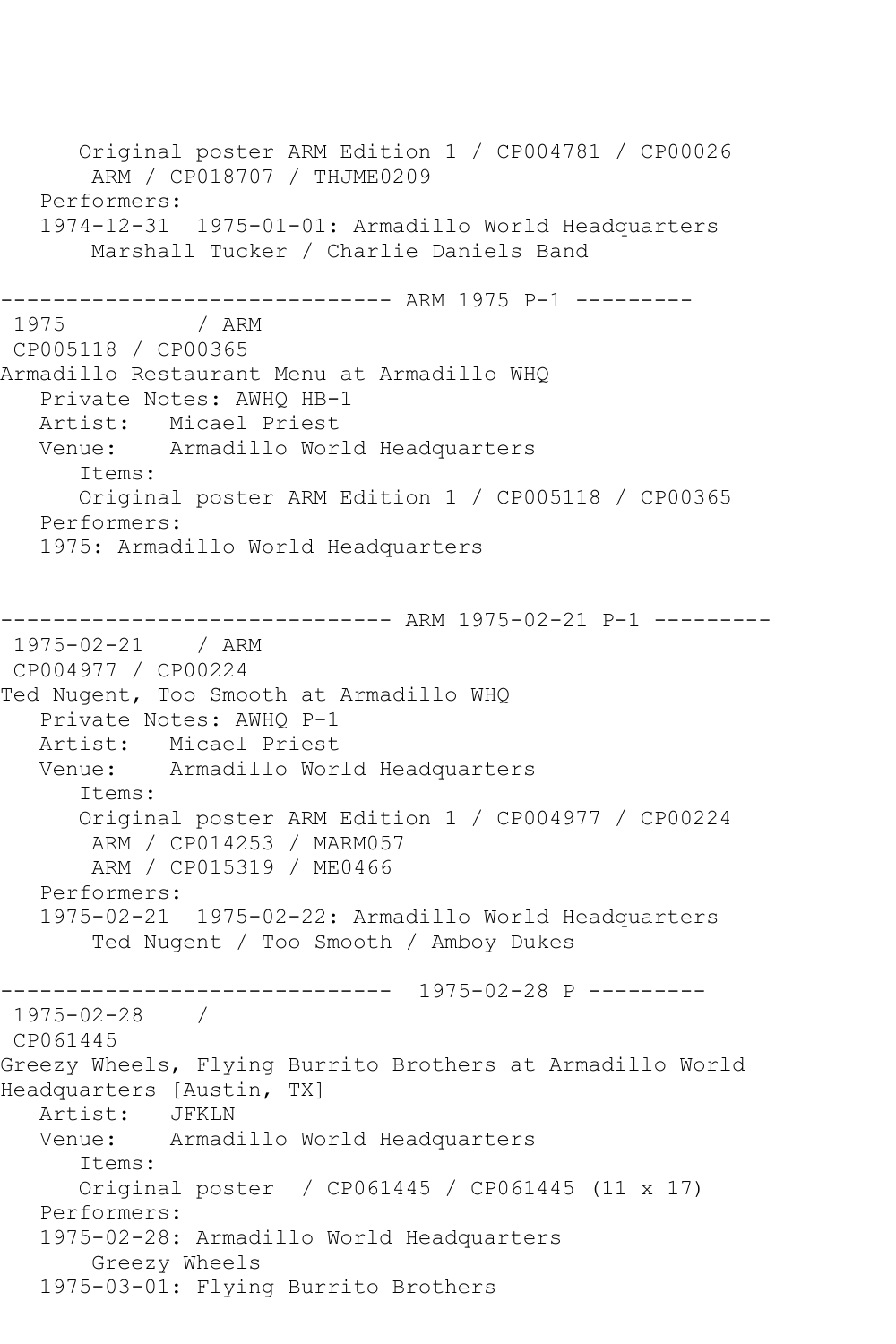Original poster ARM Edition 1 / CP004781 / CP00026 ARM / CP018707 / THJME0209 Performers: 1974-12-31 1975-01-01: Armadillo World Headquarters Marshall Tucker / Charlie Daniels Band ------------------------------ ARM 1975 P-1 --------- / ARM CP005118 / CP00365 Armadillo Restaurant Menu at Armadillo WHQ Private Notes: AWHQ HB-1 Artist: Micael Priest<br>Venue: Armadillo Wor Armadillo World Headquarters Items: Original poster ARM Edition 1 / CP005118 / CP00365 Performers: 1975: Armadillo World Headquarters ------------------------------ ARM 1975-02-21 P-1 --------- 1975-02-21 / ARM CP004977 / CP00224 Ted Nugent, Too Smooth at Armadillo WHQ Private Notes: AWHQ P-1 Artist: Micael Priest<br>Venue: Armadillo Wor Armadillo World Headquarters Items: Original poster ARM Edition 1 / CP004977 / CP00224 ARM / CP014253 / MARM057 ARM / CP015319 / ME0466 Performers: 1975-02-21 1975-02-22: Armadillo World Headquarters Ted Nugent / Too Smooth / Amboy Dukes ------------------------------ 1975-02-28 P --------- 1975-02-28 / CP061445 Greezy Wheels, Flying Burrito Brothers at Armadillo World Headquarters [Austin, TX] Artist: JFKLN Venue: Armadillo World Headquarters Items: Original poster / CP061445 / CP061445 (11 x 17) Performers: 1975-02-28: Armadillo World Headquarters Greezy Wheels 1975-03-01: Flying Burrito Brothers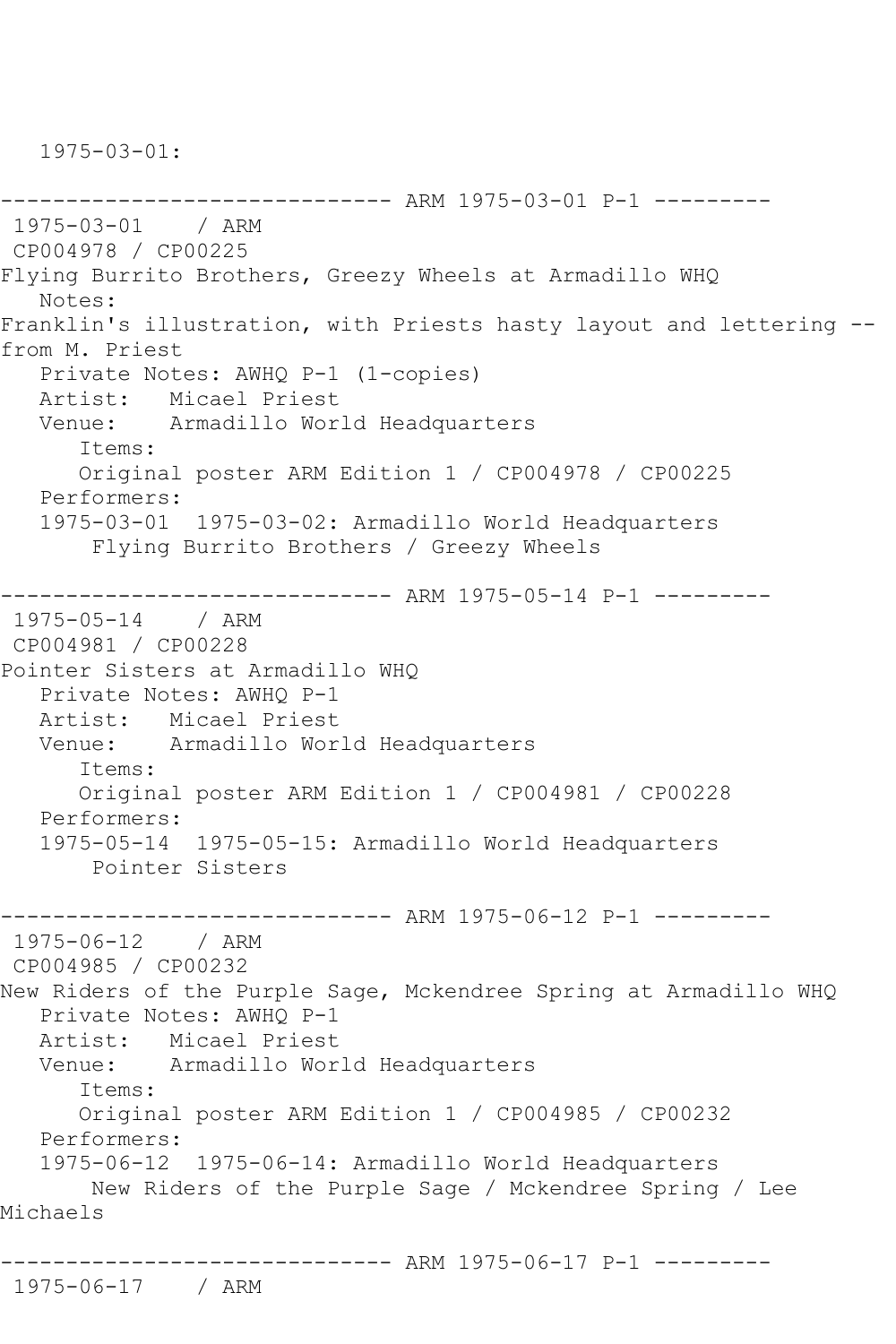1975-03-01:

------------------------------ ARM 1975-03-01 P-1 --------- 1975-03-01 / ARM CP004978 / CP00225 Flying Burrito Brothers, Greezy Wheels at Armadillo WHQ Notes: Franklin's illustration, with Priests hasty layout and lettering - from M. Priest Private Notes: AWHQ P-1 (1-copies) Artist: Micael Priest Venue: Armadillo World Headquarters Items: Original poster ARM Edition 1 / CP004978 / CP00225 Performers: 1975-03-01 1975-03-02: Armadillo World Headquarters Flying Burrito Brothers / Greezy Wheels ------------------------------ ARM 1975-05-14 P-1 --------- 1975-05-14 / ARM CP004981 / CP00228 Pointer Sisters at Armadillo WHQ Private Notes: AWHQ P-1 Artist: Micael Priest Venue: Armadillo World Headquarters Items: Original poster ARM Edition 1 / CP004981 / CP00228 Performers: 1975-05-14 1975-05-15: Armadillo World Headquarters Pointer Sisters ------------------------------ ARM 1975-06-12 P-1 --------- 1975-06-12 / ARM CP004985 / CP00232 New Riders of the Purple Sage, Mckendree Spring at Armadillo WHQ Private Notes: AWHQ P-1 Artist: Micael Priest Venue: Armadillo World Headquarters Items: Original poster ARM Edition 1 / CP004985 / CP00232 Performers: 1975-06-12 1975-06-14: Armadillo World Headquarters New Riders of the Purple Sage / Mckendree Spring / Lee Michaels ------------------------------ ARM 1975-06-17 P-1 --------- 1975-06-17 / ARM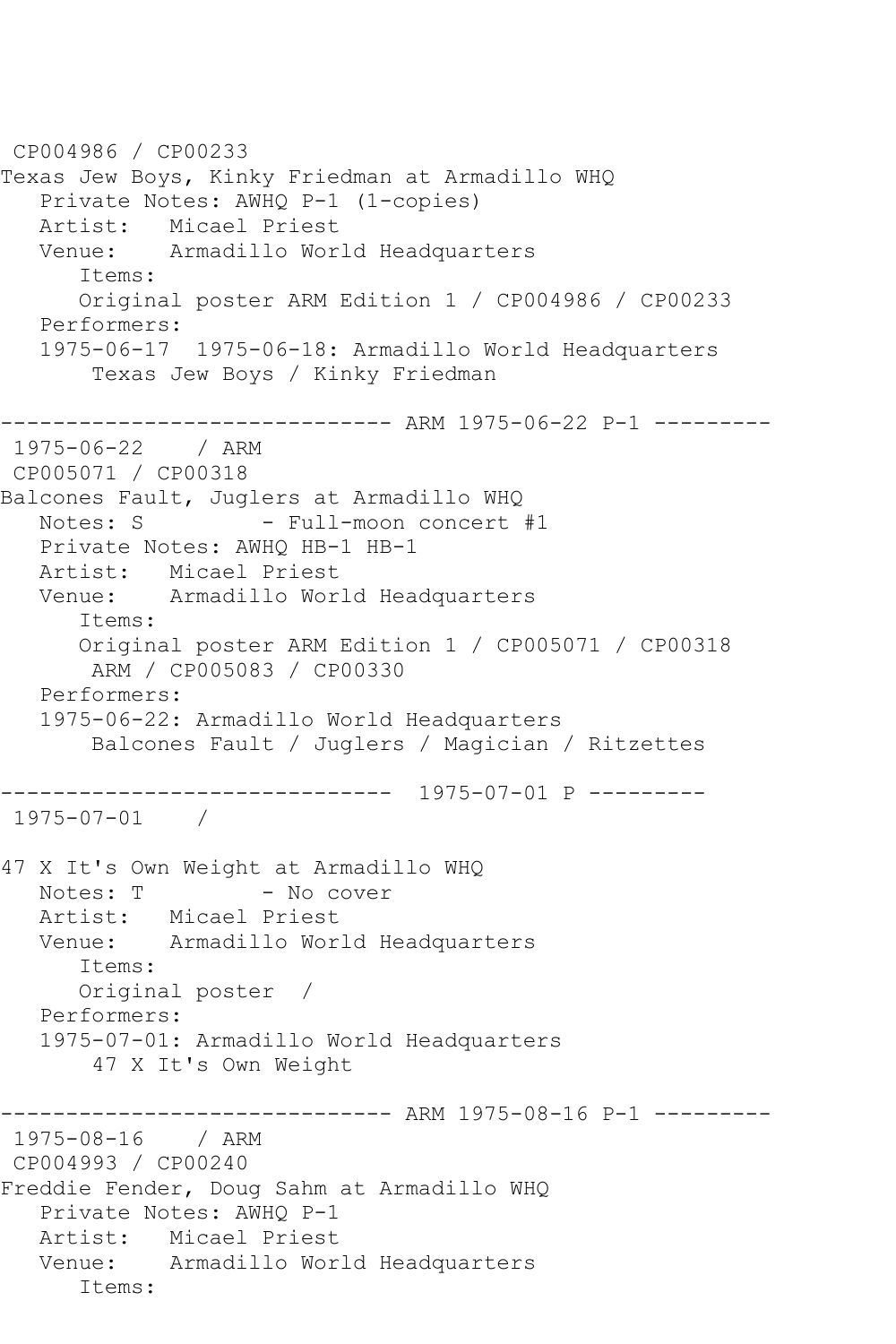CP004986 / CP00233 Texas Jew Boys, Kinky Friedman at Armadillo WHQ Private Notes: AWHQ P-1 (1-copies) Artist: Micael Priest<br>Venue: Armadillo Wor Armadillo World Headquarters Items: Original poster ARM Edition 1 / CP004986 / CP00233 Performers: 1975-06-17 1975-06-18: Armadillo World Headquarters Texas Jew Boys / Kinky Friedman ------------------------------ ARM 1975-06-22 P-1 --------- 1975-06-22 / ARM CP005071 / CP00318 Balcones Fault, Juglers at Armadillo WHQ Notes: S - Full-moon concert #1 Private Notes: AWHQ HB-1 HB-1 Artist: Micael Priest Venue: Armadillo World Headquarters Items: Original poster ARM Edition 1 / CP005071 / CP00318 ARM / CP005083 / CP00330 Performers: 1975-06-22: Armadillo World Headquarters Balcones Fault / Juglers / Magician / Ritzettes ------------------------------ 1975-07-01 P --------- 1975-07-01 / 47 X It's Own Weight at Armadillo WHQ - No cover Artist: Micael Priest Venue: Armadillo World Headquarters Items: Original poster / Performers: 1975-07-01: Armadillo World Headquarters 47 X It's Own Weight ------------------------------ ARM 1975-08-16 P-1 --------- 1975-08-16 / ARM CP004993 / CP00240 Freddie Fender, Doug Sahm at Armadillo WHQ Private Notes: AWHQ P-1 Artist: Micael Priest Venue: Armadillo World Headquarters Items: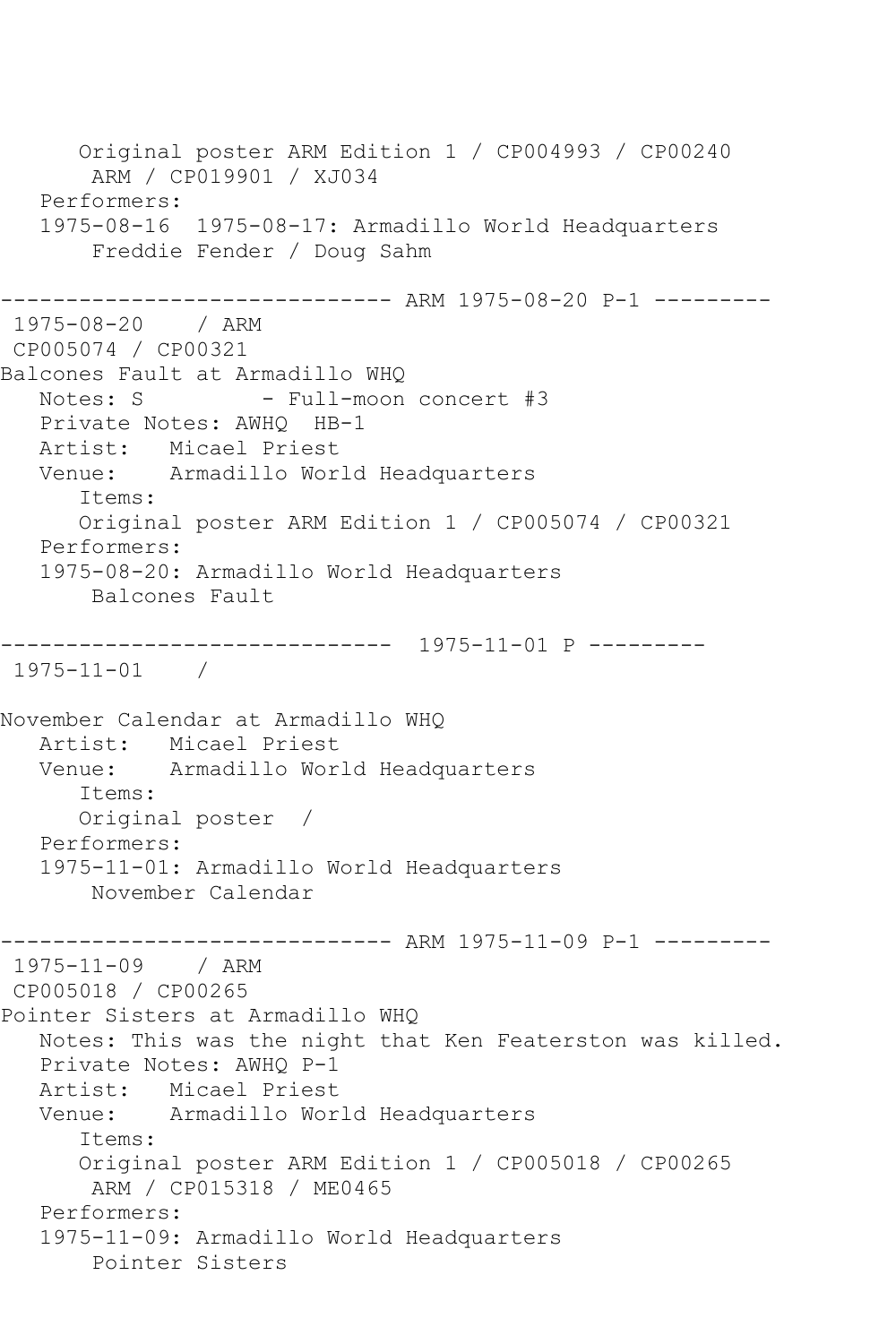Original poster ARM Edition 1 / CP004993 / CP00240 ARM / CP019901 / XJ034 Performers: 1975-08-16 1975-08-17: Armadillo World Headquarters Freddie Fender / Doug Sahm ------------------------------ ARM 1975-08-20 P-1 --------- 1975-08-20 / ARM CP005074 / CP00321 Balcones Fault at Armadillo WHQ<br>Notes: S Full-moon - Full-moon concert #3 Private Notes: AWHQ HB-1 Artist: Micael Priest Venue: Armadillo World Headquarters Items: Original poster ARM Edition 1 / CP005074 / CP00321 Performers: 1975-08-20: Armadillo World Headquarters Balcones Fault ------------------------------ 1975-11-01 P --------- 1975-11-01 / November Calendar at Armadillo WHQ Artist: Micael Priest<br>Venue: Armadillo Wor Armadillo World Headquarters Items: Original poster / Performers: 1975-11-01: Armadillo World Headquarters November Calendar ------------------------------ ARM 1975-11-09 P-1 --------- 1975-11-09 / ARM CP005018 / CP00265 Pointer Sisters at Armadillo WHQ Notes: This was the night that Ken Featerston was killed. Private Notes: AWHQ P-1 Artist: Micael Priest Venue: Armadillo World Headquarters Items: Original poster ARM Edition 1 / CP005018 / CP00265 ARM / CP015318 / ME0465 Performers: 1975-11-09: Armadillo World Headquarters Pointer Sisters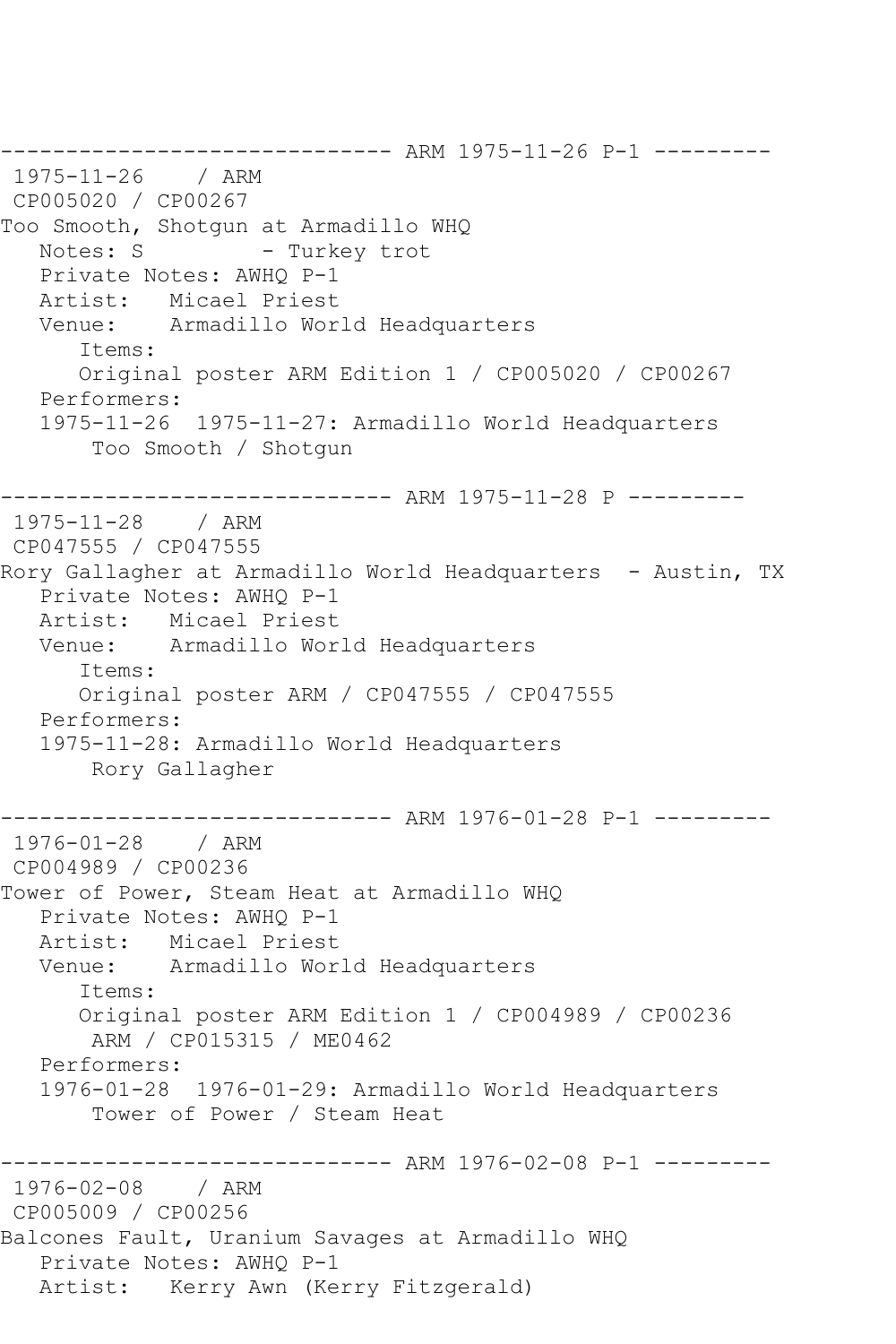------------------------------ ARM 1975-11-26 P-1 --------- 1975-11-26 CP005020 / CP00267 Too Smooth, Shotgun at Armadillo WHQ - Turkey trot Private Notes: AWHQ P-1 Artist: Micael Priest Venue: Armadillo World Headquarters Items: Original poster ARM Edition 1 / CP005020 / CP00267 Performers: 1975-11-26 1975-11-27: Armadillo World Headquarters Too Smooth / Shotgun ------------------------------ ARM 1975-11-28 P --------- 1975-11-28 / ARM CP047555 / CP047555 Rory Gallagher at Armadillo World Headquarters - Austin, TX Private Notes: AWHQ P-1 Artist: Micael Priest Venue: Armadillo World Headquarters Items: Original poster ARM / CP047555 / CP047555 Performers: 1975-11-28: Armadillo World Headquarters Rory Gallagher ------------------------------ ARM 1976-01-28 P-1 --------- 1976-01-28 / ARM CP004989 / CP00236 Tower of Power, Steam Heat at Armadillo WHQ Private Notes: AWHQ P-1 Artist: Micael Priest<br>Venue: Armadillo Wor Armadillo World Headquarters Items: Original poster ARM Edition 1 / CP004989 / CP00236 ARM / CP015315 / ME0462 Performers: 1976-01-28 1976-01-29: Armadillo World Headquarters Tower of Power / Steam Heat -------------- ARM 1976-02-08 P-1 ---------1976-02-08 / ARM CP005009 / CP00256 Balcones Fault, Uranium Savages at Armadillo WHQ Private Notes: AWHQ P-1 Artist: Kerry Awn (Kerry Fitzgerald)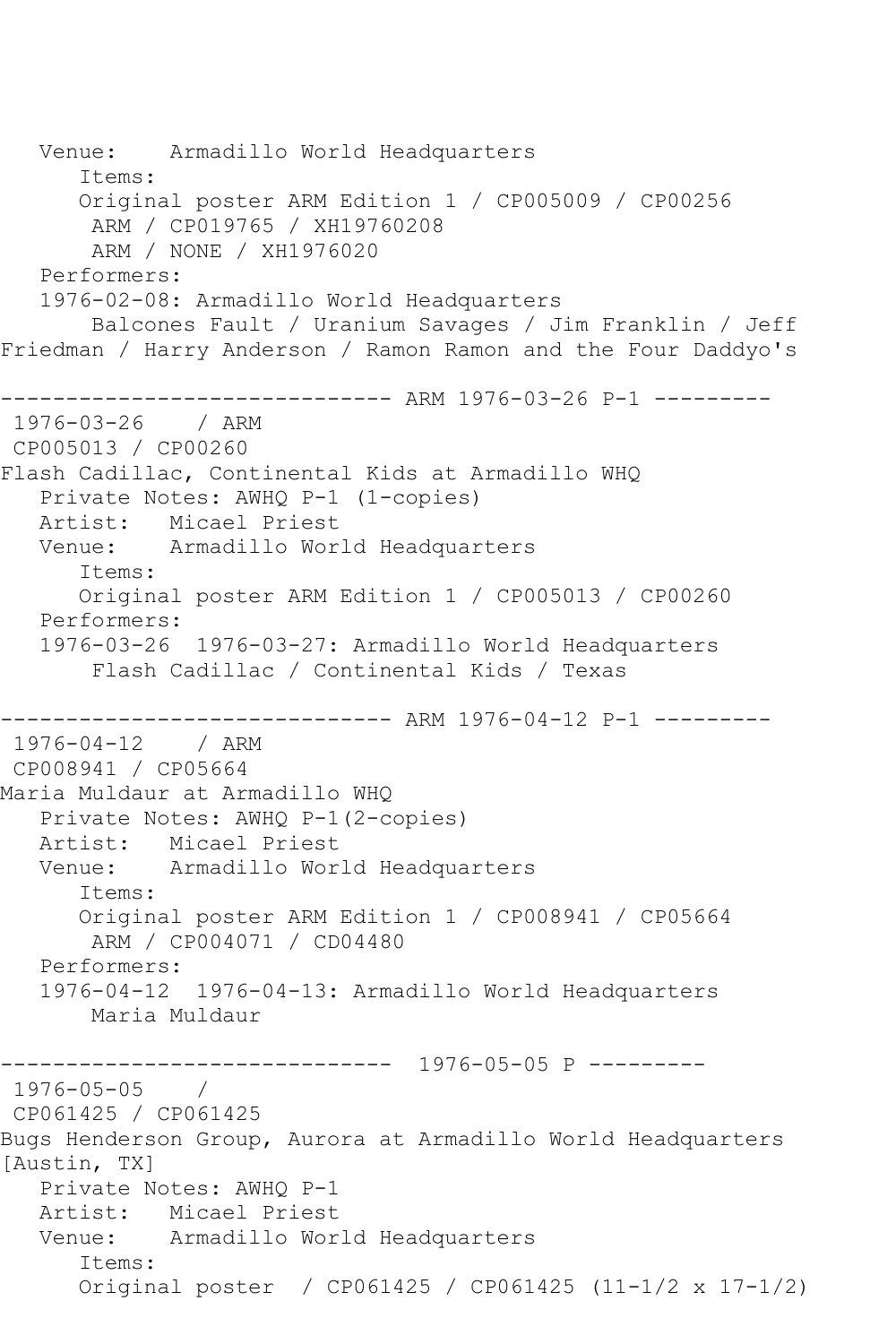Venue: Armadillo World Headquarters Items: Original poster ARM Edition 1 / CP005009 / CP00256 ARM / CP019765 / XH19760208 ARM / NONE / XH1976020 Performers: 1976-02-08: Armadillo World Headquarters Balcones Fault / Uranium Savages / Jim Franklin / Jeff Friedman / Harry Anderson / Ramon Ramon and the Four Daddyo's ------------------------------ ARM 1976-03-26 P-1 --------- 1976-03-26 / ARM CP005013 / CP00260 Flash Cadillac, Continental Kids at Armadillo WHQ Private Notes: AWHQ P-1 (1-copies) Artist: Micael Priest Venue: Armadillo World Headquarters Items: Original poster ARM Edition 1 / CP005013 / CP00260 Performers: 1976-03-26 1976-03-27: Armadillo World Headquarters Flash Cadillac / Continental Kids / Texas ------------------------------ ARM 1976-04-12 P-1 --------- 1976-04-12 / ARM CP008941 / CP05664 Maria Muldaur at Armadillo WHQ Private Notes: AWHQ P-1(2-copies) Artist: Micael Priest Venue: Armadillo World Headquarters Items: Original poster ARM Edition 1 / CP008941 / CP05664 ARM / CP004071 / CD04480 Performers: 1976-04-12 1976-04-13: Armadillo World Headquarters Maria Muldaur ------------------------------ 1976-05-05 P --------- 1976-05-05 / CP061425 / CP061425 Bugs Henderson Group, Aurora at Armadillo World Headquarters [Austin, TX] Private Notes: AWHQ P-1 Artist: Micael Priest Venue: Armadillo World Headquarters Items: Original poster / CP061425 / CP061425 (11-1/2 x 17-1/2)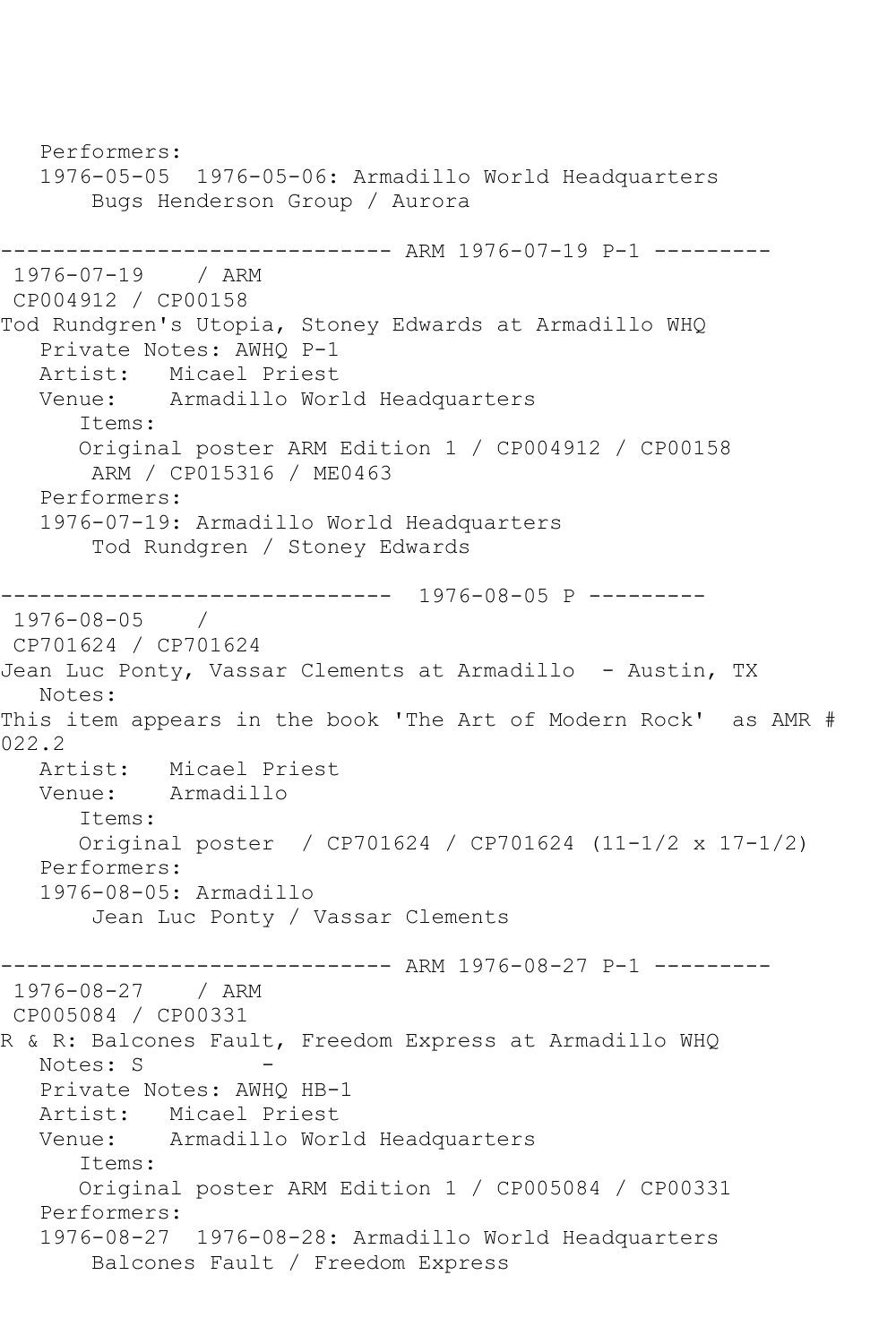Performers: 1976-05-05 1976-05-06: Armadillo World Headquarters Bugs Henderson Group / Aurora ------------------------------ ARM 1976-07-19 P-1 --------- 1976-07-19 / ARM CP004912 / CP00158 Tod Rundgren's Utopia, Stoney Edwards at Armadillo WHQ Private Notes: AWHQ P-1 Artist: Micael Priest<br>Venue: Armadillo Wor Armadillo World Headquarters Items: Original poster ARM Edition 1 / CP004912 / CP00158 ARM / CP015316 / ME0463 Performers: 1976-07-19: Armadillo World Headquarters Tod Rundgren / Stoney Edwards ------------------------------ 1976-08-05 P --------- 1976-08-05 / CP701624 / CP701624 Jean Luc Ponty, Vassar Clements at Armadillo - Austin, TX Notes: This item appears in the book 'The Art of Modern Rock' as AMR # 022.2 Artist: Micael Priest Venue: Armadillo Items: Original poster / CP701624 / CP701624 (11-1/2 x 17-1/2) Performers: 1976-08-05: Armadillo Jean Luc Ponty / Vassar Clements ------------------------------ ARM 1976-08-27 P-1 --------- 1976-08-27 / ARM CP005084 / CP00331 R & R: Balcones Fault, Freedom Express at Armadillo WHQ Notes: S Private Notes: AWHQ HB-1 Artist: Micael Priest Venue: Armadillo World Headquarters Items: Original poster ARM Edition 1 / CP005084 / CP00331 Performers: 1976-08-27 1976-08-28: Armadillo World Headquarters Balcones Fault / Freedom Express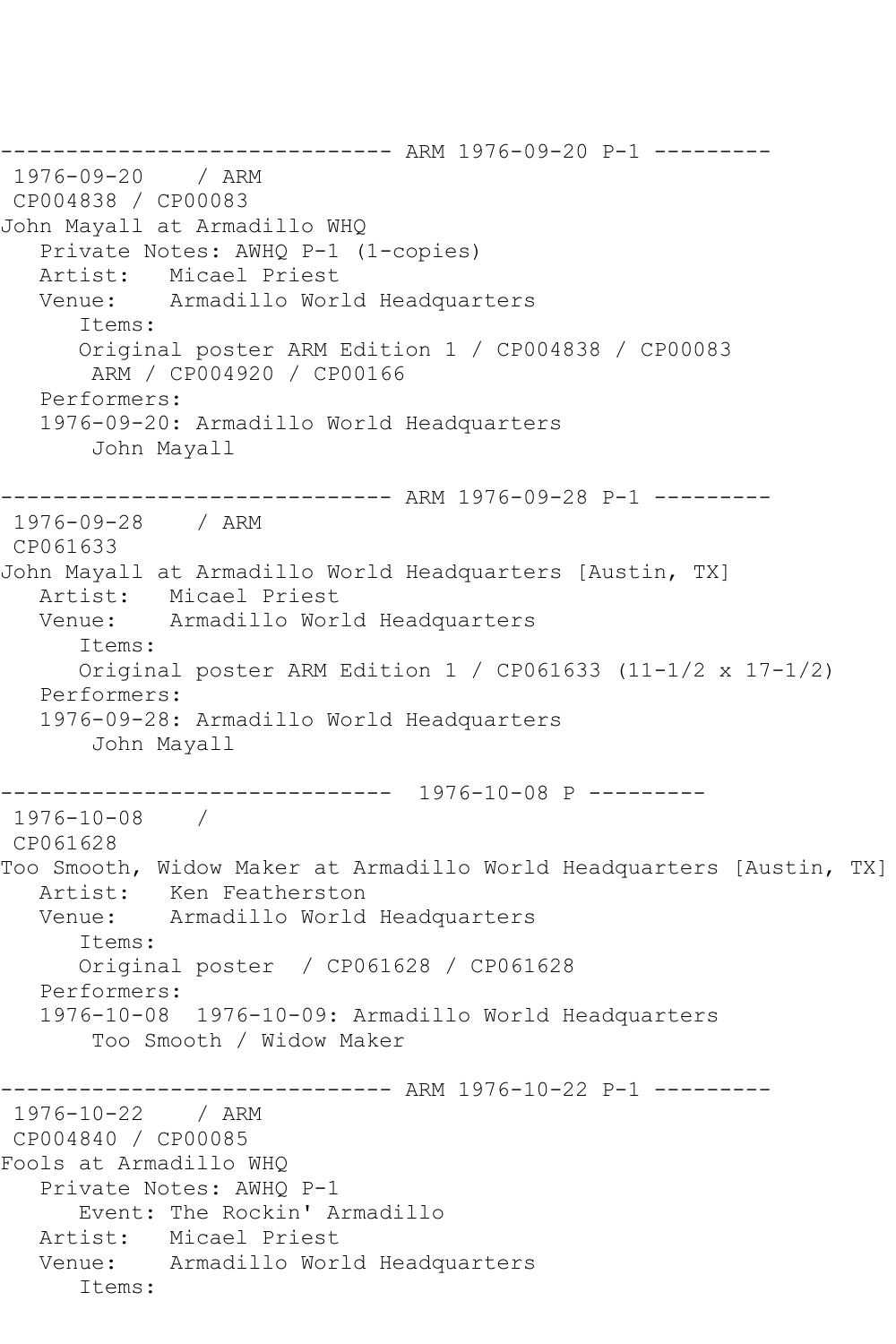------------------------------ ARM 1976-09-20 P-1 --------- 1976-09-20 / ARM CP004838 / CP00083 John Mayall at Armadillo WHQ Private Notes: AWHQ P-1 (1-copies) Artist: Micael Priest Venue: Armadillo World Headquarters Items: Original poster ARM Edition 1 / CP004838 / CP00083 ARM / CP004920 / CP00166 Performers: 1976-09-20: Armadillo World Headquarters John Mayall ------------------------------ ARM 1976-09-28 P-1 --------- 1976-09-28 / ARM CP061633 John Mayall at Armadillo World Headquarters [Austin, TX] Artist: Micael Priest<br>Venue: Armadillo Wor Armadillo World Headquarters Items: Original poster ARM Edition 1 / CP061633 (11-1/2 x 17-1/2) Performers: 1976-09-28: Armadillo World Headquarters John Mayall ------------------------------ 1976-10-08 P --------- 1976-10-08 / CP061628 Too Smooth, Widow Maker at Armadillo World Headquarters [Austin, TX] Artist: Ken Featherston Venue: Armadillo World Headquarters Items: Original poster / CP061628 / CP061628 Performers: 1976-10-08 1976-10-09: Armadillo World Headquarters Too Smooth / Widow Maker ------------------------------ ARM 1976-10-22 P-1 --------- 1976-10-22 / ARM CP004840 / CP00085 Fools at Armadillo WHQ Private Notes: AWHQ P-1 Event: The Rockin' Armadillo Artist: Micael Priest Venue: Armadillo World Headquarters Items: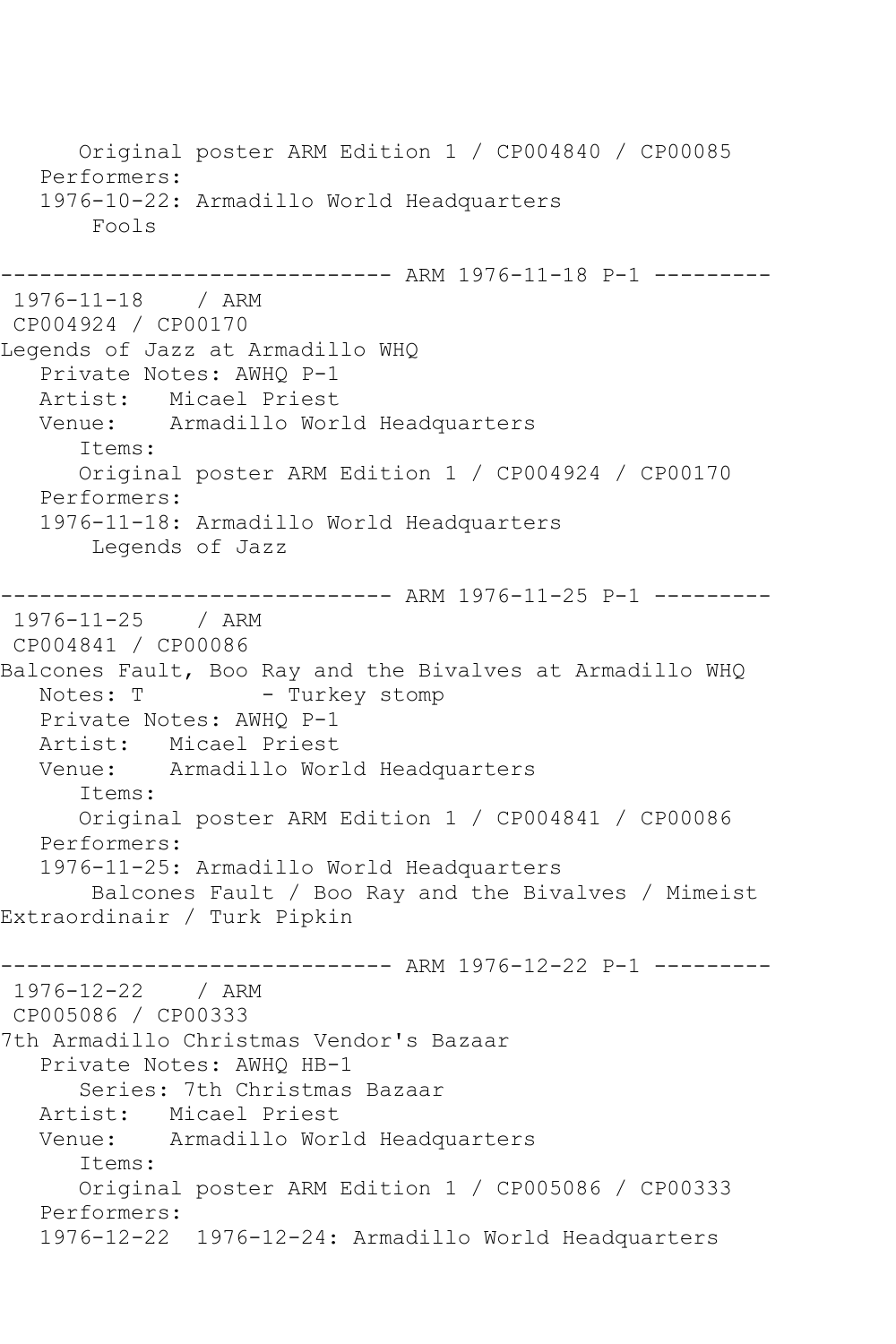Original poster ARM Edition 1 / CP004840 / CP00085 Performers: 1976-10-22: Armadillo World Headquarters Fools ----------- ARM 1976-11-18 P-1 ---------1976-11-18 / ARM CP004924 / CP00170 Legends of Jazz at Armadillo WHQ Private Notes: AWHQ P-1 Artist: Micael Priest Venue: Armadillo World Headquarters Items: Original poster ARM Edition 1 / CP004924 / CP00170 Performers: 1976-11-18: Armadillo World Headquarters Legends of Jazz ------------------------------ ARM 1976-11-25 P-1 --------- 1976-11-25 / ARM CP004841 / CP00086 Balcones Fault, Boo Ray and the Bivalves at Armadillo WHQ Notes: T - Turkey stomp Private Notes: AWHQ P-1 Artist: Micael Priest<br>Venue: Armadillo Wor Armadillo World Headquarters Items: Original poster ARM Edition 1 / CP004841 / CP00086 Performers: 1976-11-25: Armadillo World Headquarters Balcones Fault / Boo Ray and the Bivalves / Mimeist Extraordinair / Turk Pipkin ------------------------------ ARM 1976-12-22 P-1 --------- 1976-12-22 / ARM CP005086 / CP00333 7th Armadillo Christmas Vendor's Bazaar Private Notes: AWHQ HB-1 Series: 7th Christmas Bazaar Artist: Micael Priest Venue: Armadillo World Headquarters Items: Original poster ARM Edition 1 / CP005086 / CP00333 Performers: 1976-12-22 1976-12-24: Armadillo World Headquarters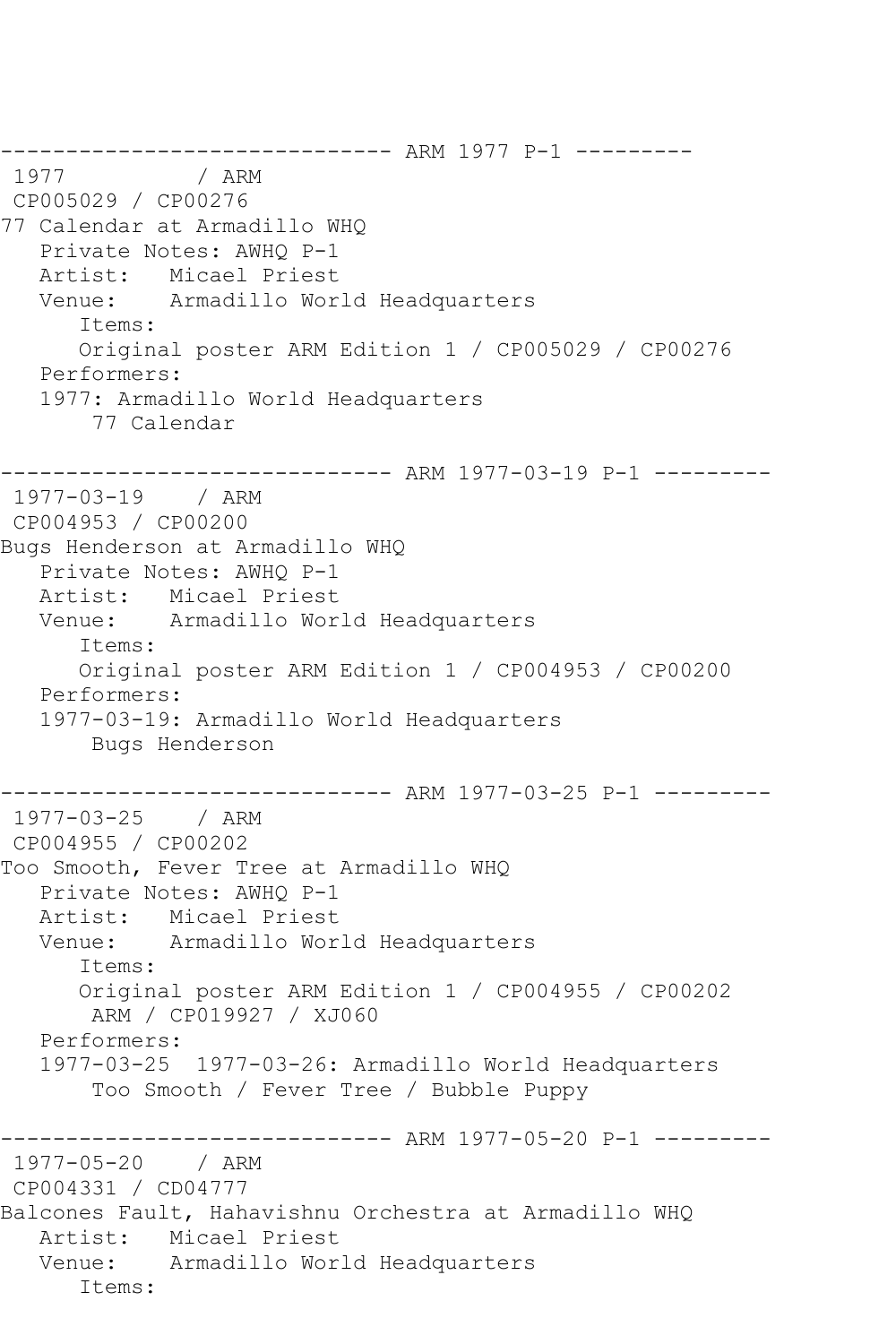------------------------------ ARM 1977 P-1 --------- / ARM CP005029 / CP00276 77 Calendar at Armadillo WHQ Private Notes: AWHQ P-1 Artist: Micael Priest Venue: Armadillo World Headquarters Items: Original poster ARM Edition 1 / CP005029 / CP00276 Performers: 1977: Armadillo World Headquarters 77 Calendar ------------------------------ ARM 1977-03-19 P-1 --------- 1977-03-19 / ARM CP004953 / CP00200 Bugs Henderson at Armadillo WHQ Private Notes: AWHQ P-1 Artist: Micael Priest Venue: Armadillo World Headquarters Items: Original poster ARM Edition 1 / CP004953 / CP00200 Performers: 1977-03-19: Armadillo World Headquarters Bugs Henderson ------------------------------ ARM 1977-03-25 P-1 --------- 1977-03-25 / ARM CP004955 / CP00202 Too Smooth, Fever Tree at Armadillo WHQ Private Notes: AWHQ P-1 Artist: Micael Priest Venue: Armadillo World Headquarters Items: Original poster ARM Edition 1 / CP004955 / CP00202 ARM / CP019927 / XJ060 Performers: 1977-03-25 1977-03-26: Armadillo World Headquarters Too Smooth / Fever Tree / Bubble Puppy ------------------------------ ARM 1977-05-20 P-1 --------- 1977-05-20 / ARM CP004331 / CD04777 Balcones Fault, Hahavishnu Orchestra at Armadillo WHQ Artist: Micael Priest Venue: Armadillo World Headquarters Items: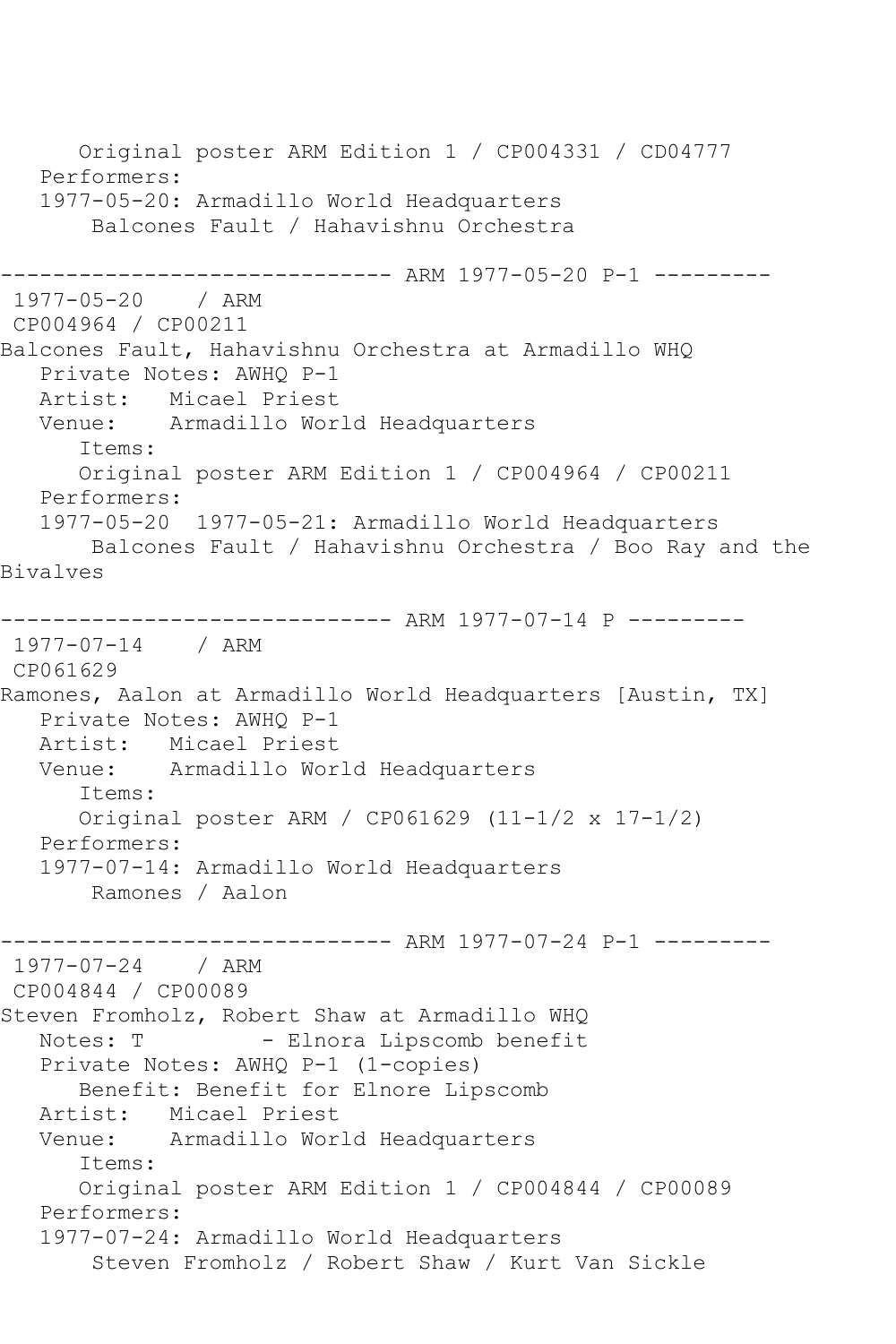Original poster ARM Edition 1 / CP004331 / CD04777 Performers: 1977-05-20: Armadillo World Headquarters Balcones Fault / Hahavishnu Orchestra ------------------------------ ARM 1977-05-20 P-1 --------- 1977-05-20 / ARM CP004964 / CP00211 Balcones Fault, Hahavishnu Orchestra at Armadillo WHQ Private Notes: AWHQ P-1 Artist: Micael Priest Venue: Armadillo World Headquarters Items: Original poster ARM Edition 1 / CP004964 / CP00211 Performers: 1977-05-20 1977-05-21: Armadillo World Headquarters Balcones Fault / Hahavishnu Orchestra / Boo Ray and the Bivalves ------------------------------ ARM 1977-07-14 P --------- 1977-07-14 / ARM CP061629 Ramones, Aalon at Armadillo World Headquarters [Austin, TX] Private Notes: AWHQ P-1 Artist: Micael Priest<br>Venue: Armadillo Wor Armadillo World Headquarters Items: Original poster ARM / CP061629 (11-1/2 x 17-1/2) Performers: 1977-07-14: Armadillo World Headquarters Ramones / Aalon ------------------------------ ARM 1977-07-24 P-1 --------- 1977-07-24 / ARM CP004844 / CP00089 Steven Fromholz, Robert Shaw at Armadillo WHQ Notes: T - Elnora Lipscomb benefit Private Notes: AWHQ P-1 (1-copies) Benefit: Benefit for Elnore Lipscomb Artist: Micael Priest Venue: Armadillo World Headquarters Items: Original poster ARM Edition 1 / CP004844 / CP00089 Performers: 1977-07-24: Armadillo World Headquarters Steven Fromholz / Robert Shaw / Kurt Van Sickle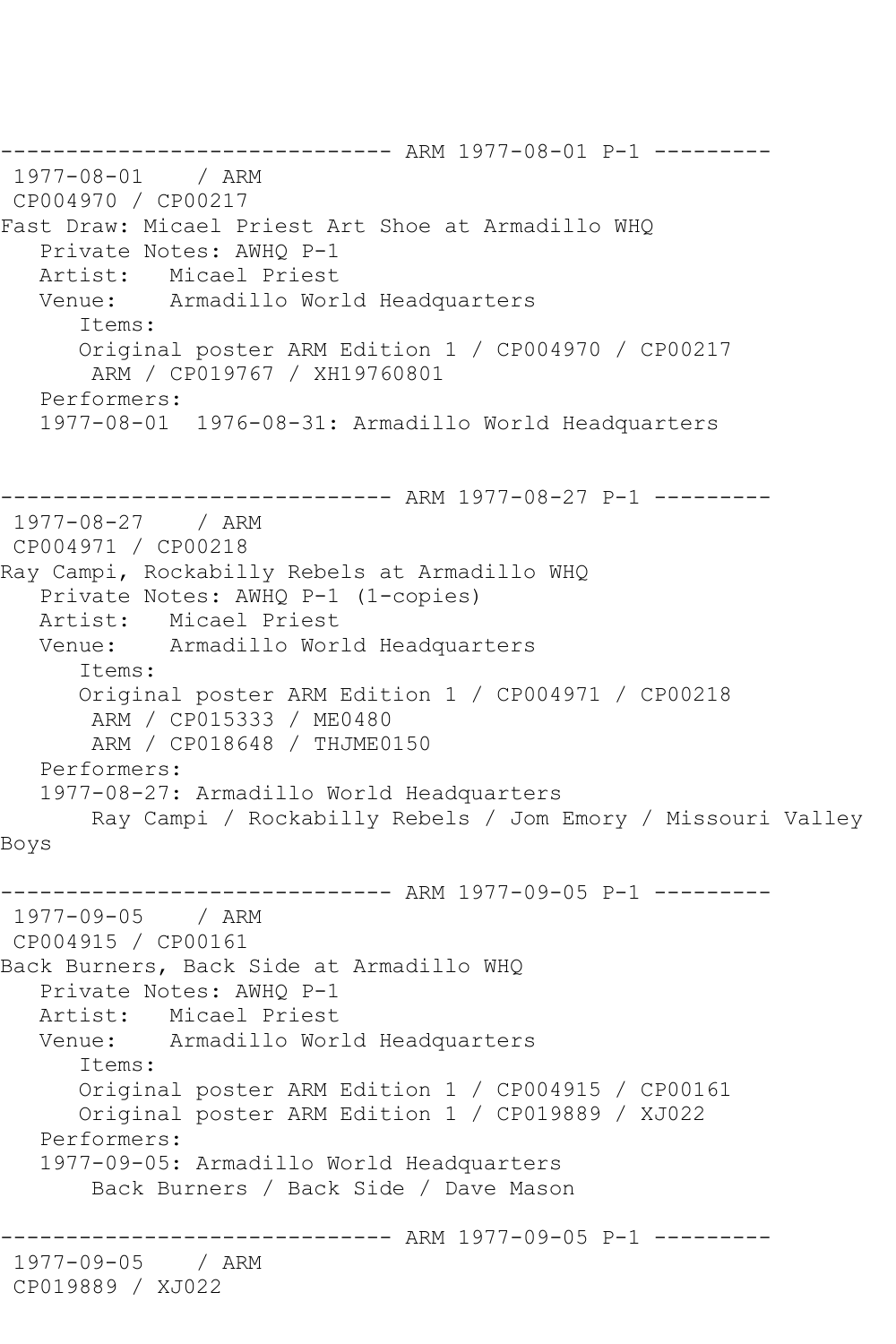------------------------------- ARM 1977-08-01 P-1 ---------<br>1977-08-01 / ARM 1977-08-01 CP004970 / CP00217 Fast Draw: Micael Priest Art Shoe at Armadillo WHQ Private Notes: AWHQ P-1 Artist: Micael Priest<br>Venue: Armadillo Wor Armadillo World Headquarters Items: Original poster ARM Edition 1 / CP004970 / CP00217 ARM / CP019767 / XH19760801 Performers: 1977-08-01 1976-08-31: Armadillo World Headquarters ------------------------------ ARM 1977-08-27 P-1 --------- 1977-08-27 / ARM CP004971 / CP00218 Ray Campi, Rockabilly Rebels at Armadillo WHQ Private Notes: AWHQ P-1 (1-copies) Artist: Micael Priest Venue: Armadillo World Headquarters Items: Original poster ARM Edition 1 / CP004971 / CP00218 ARM / CP015333 / ME0480 ARM / CP018648 / THJME0150 Performers: 1977-08-27: Armadillo World Headquarters Ray Campi / Rockabilly Rebels / Jom Emory / Missouri Valley Boys ------------------------------ ARM 1977-09-05 P-1 --------- 1977-09-05 / ARM CP004915 / CP00161 Back Burners, Back Side at Armadillo WHQ Private Notes: AWHQ P-1 Artist: Micael Priest Venue: Armadillo World Headquarters Items: Original poster ARM Edition 1 / CP004915 / CP00161 Original poster ARM Edition 1 / CP019889 / XJ022 Performers: 1977-09-05: Armadillo World Headquarters Back Burners / Back Side / Dave Mason ------------------------------ ARM 1977-09-05 P-1 --------- 1977-09-05 / ARM CP019889 / XJ022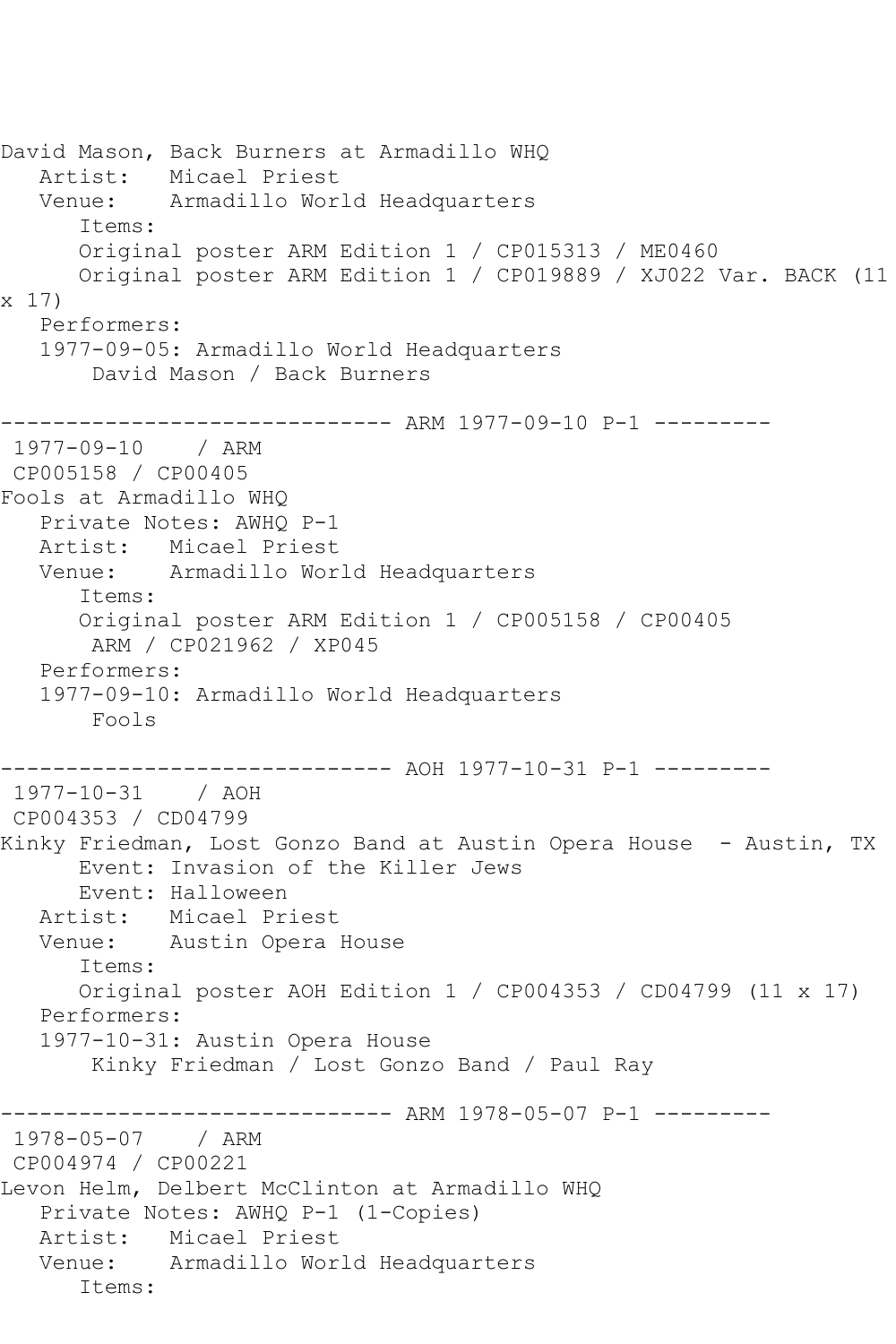```
David Mason, Back Burners at Armadillo WHQ
   Artist: Micael Priest
   Venue: Armadillo World Headquarters
       Items:
       Original poster ARM Edition 1 / CP015313 / ME0460
      Original poster ARM Edition 1 / CP019889 / XJ022 Var. BACK (11 
x 17)
   Performers:
   1977-09-05: Armadillo World Headquarters
        David Mason / Back Burners
            ------------------------------ ARM 1977-09-10 P-1 ---------
1977-09-10 / ARM 
CP005158 / CP00405
Fools at Armadillo WHQ
   Private Notes: AWHQ P-1
   Artist: Micael Priest
   Venue: Armadillo World Headquarters
       Items:
      Original poster ARM Edition 1 / CP005158 / CP00405
        ARM / CP021962 / XP045
   Performers:
   1977-09-10: Armadillo World Headquarters
        Fools
------------------------------ AOH 1977-10-31 P-1 ---------
1977-10-31 / AOH 
CP004353 / CD04799
Kinky Friedman, Lost Gonzo Band at Austin Opera House - Austin, TX
      Event: Invasion of the Killer Jews
      Event: Halloween
   Artist: Micael Priest
   Venue: Austin Opera House
       Items:
       Original poster AOH Edition 1 / CP004353 / CD04799 (11 x 17)
   Performers:
   1977-10-31: Austin Opera House
        Kinky Friedman / Lost Gonzo Band / Paul Ray
------------------------------ ARM 1978-05-07 P-1 ---------
1978-05-07 / ARM 
CP004974 / CP00221
Levon Helm, Delbert McClinton at Armadillo WHQ
   Private Notes: AWHQ P-1 (1-Copies)
   Artist: Micael Priest
   Venue: Armadillo World Headquarters
       Items:
```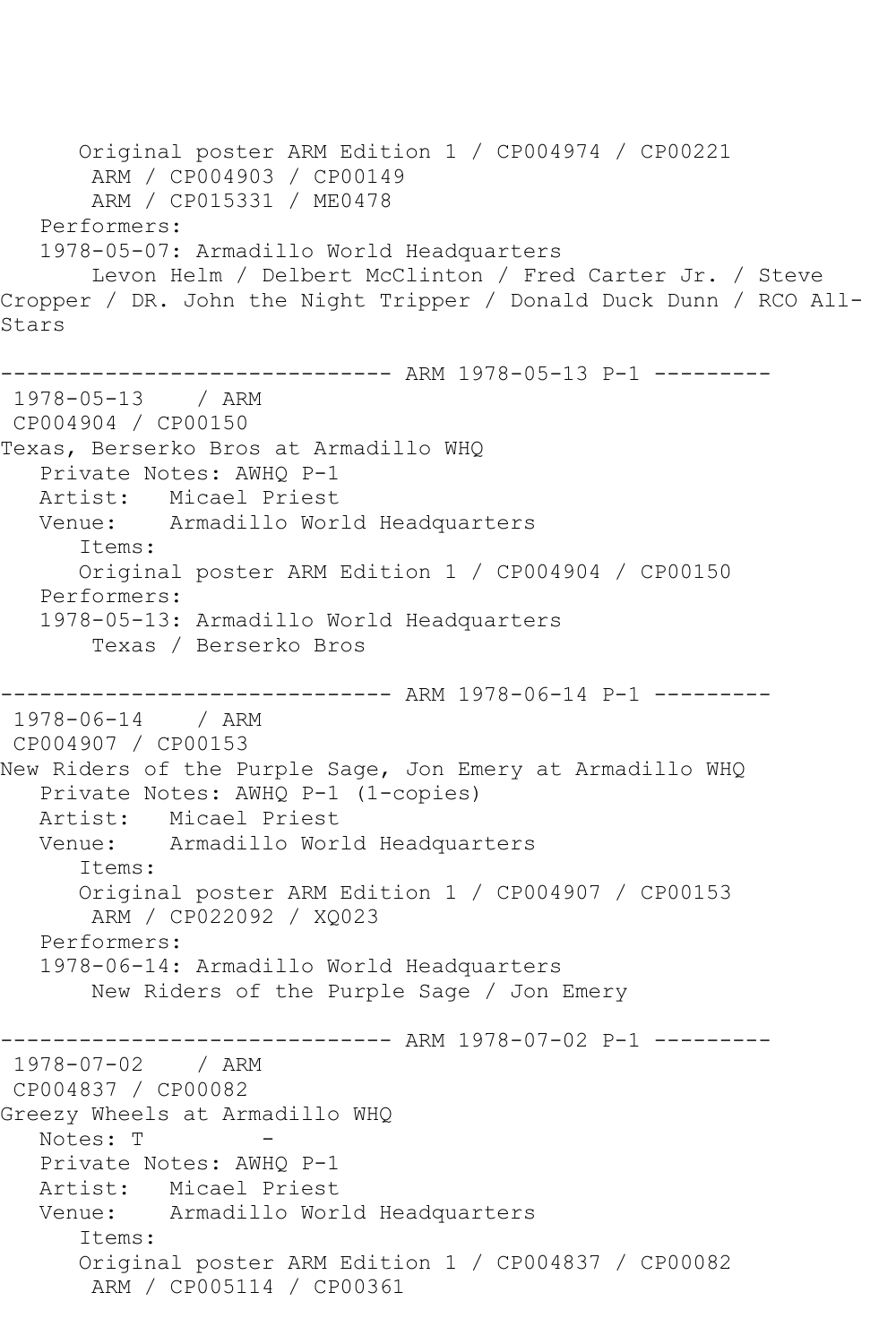Original poster ARM Edition 1 / CP004974 / CP00221 ARM / CP004903 / CP00149 ARM / CP015331 / ME0478 Performers: 1978-05-07: Armadillo World Headquarters Levon Helm / Delbert McClinton / Fred Carter Jr. / Steve Cropper / DR. John the Night Tripper / Donald Duck Dunn / RCO All-Stars ------------------------------ ARM 1978-05-13 P-1 --------- 1978-05-13 / ARM CP004904 / CP00150 Texas, Berserko Bros at Armadillo WHQ Private Notes: AWHQ P-1 Artist: Micael Priest Venue: Armadillo World Headquarters Items: Original poster ARM Edition 1 / CP004904 / CP00150 Performers: 1978-05-13: Armadillo World Headquarters Texas / Berserko Bros ------------------------------ ARM 1978-06-14 P-1 --------- 1978-06-14 / ARM CP004907 / CP00153 New Riders of the Purple Sage, Jon Emery at Armadillo WHQ Private Notes: AWHQ P-1 (1-copies) Artist: Micael Priest Venue: Armadillo World Headquarters Items: Original poster ARM Edition 1 / CP004907 / CP00153 ARM / CP022092 / XQ023 Performers: 1978-06-14: Armadillo World Headquarters New Riders of the Purple Sage / Jon Emery ------------------------------ ARM 1978-07-02 P-1 --------- 1978-07-02 / ARM CP004837 / CP00082 Greezy Wheels at Armadillo WHQ Notes: T Private Notes: AWHQ P-1 Artist: Micael Priest Venue: Armadillo World Headquarters Items: Original poster ARM Edition 1 / CP004837 / CP00082 ARM / CP005114 / CP00361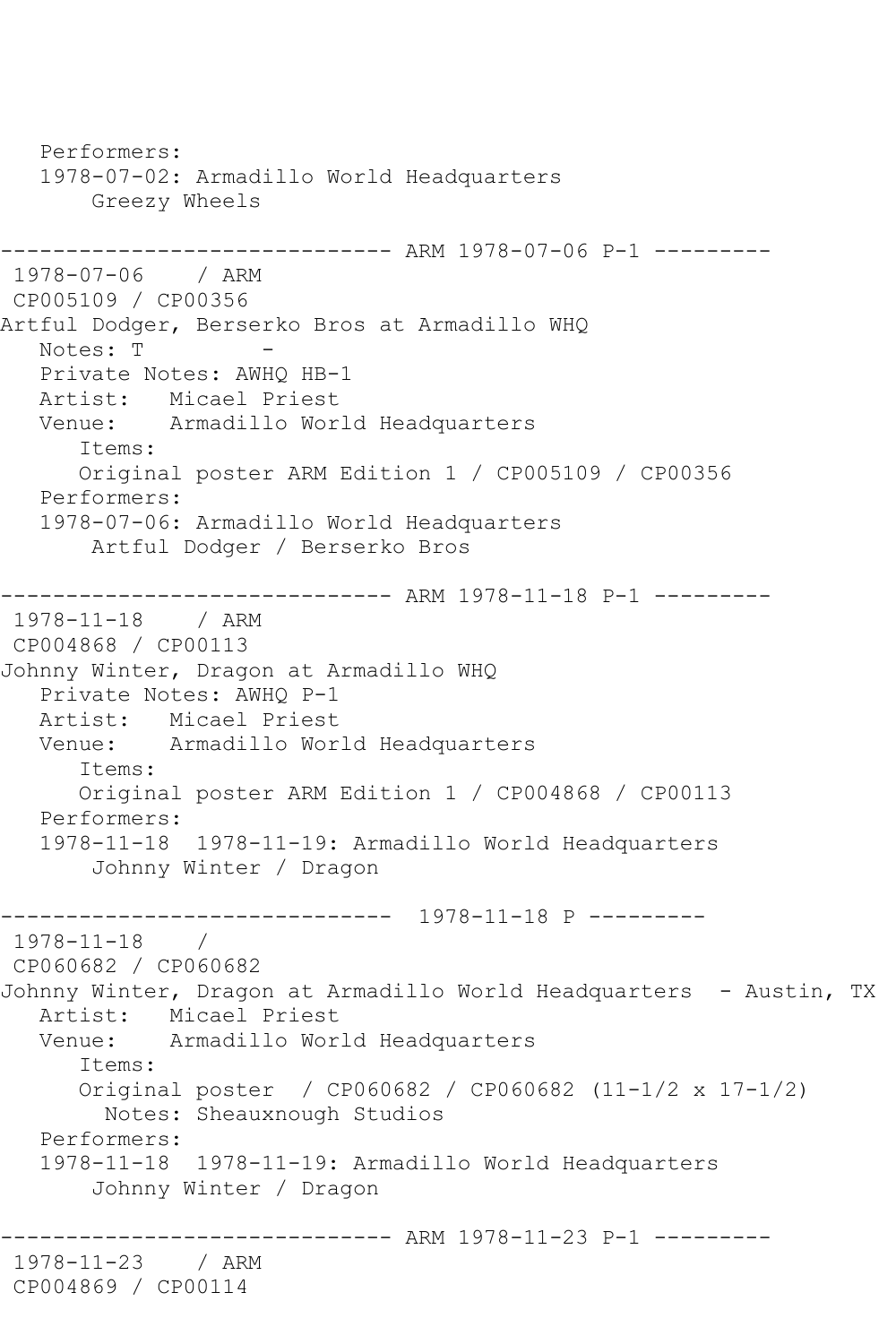Performers: 1978-07-02: Armadillo World Headquarters Greezy Wheels ------------------------------ ARM 1978-07-06 P-1 --------- 1978-07-06 / ARM CP005109 / CP00356 Artful Dodger, Berserko Bros at Armadillo WHQ Notes: T Private Notes: AWHQ HB-1 Artist: Micael Priest Venue: Armadillo World Headquarters Items: Original poster ARM Edition 1 / CP005109 / CP00356 Performers: 1978-07-06: Armadillo World Headquarters Artful Dodger / Berserko Bros ------------------------------ ARM 1978-11-18 P-1 --------- 1978-11-18 / ARM CP004868 / CP00113 Johnny Winter, Dragon at Armadillo WHQ Private Notes: AWHQ P-1 Artist: Micael Priest Venue: Armadillo World Headquarters Items: Original poster ARM Edition 1 / CP004868 / CP00113 Performers: 1978-11-18 1978-11-19: Armadillo World Headquarters Johnny Winter / Dragon ------------------------------ 1978-11-18 P --------- 1978-11-18 / CP060682 / CP060682 Johnny Winter, Dragon at Armadillo World Headquarters - Austin, TX Artist: Micael Priest Venue: Armadillo World Headquarters Items: Original poster / CP060682 / CP060682 (11-1/2 x 17-1/2) Notes: Sheauxnough Studios Performers: 1978-11-18 1978-11-19: Armadillo World Headquarters Johnny Winter / Dragon ------------------------------ ARM 1978-11-23 P-1 --------- 1978-11-23 / ARM CP004869 / CP00114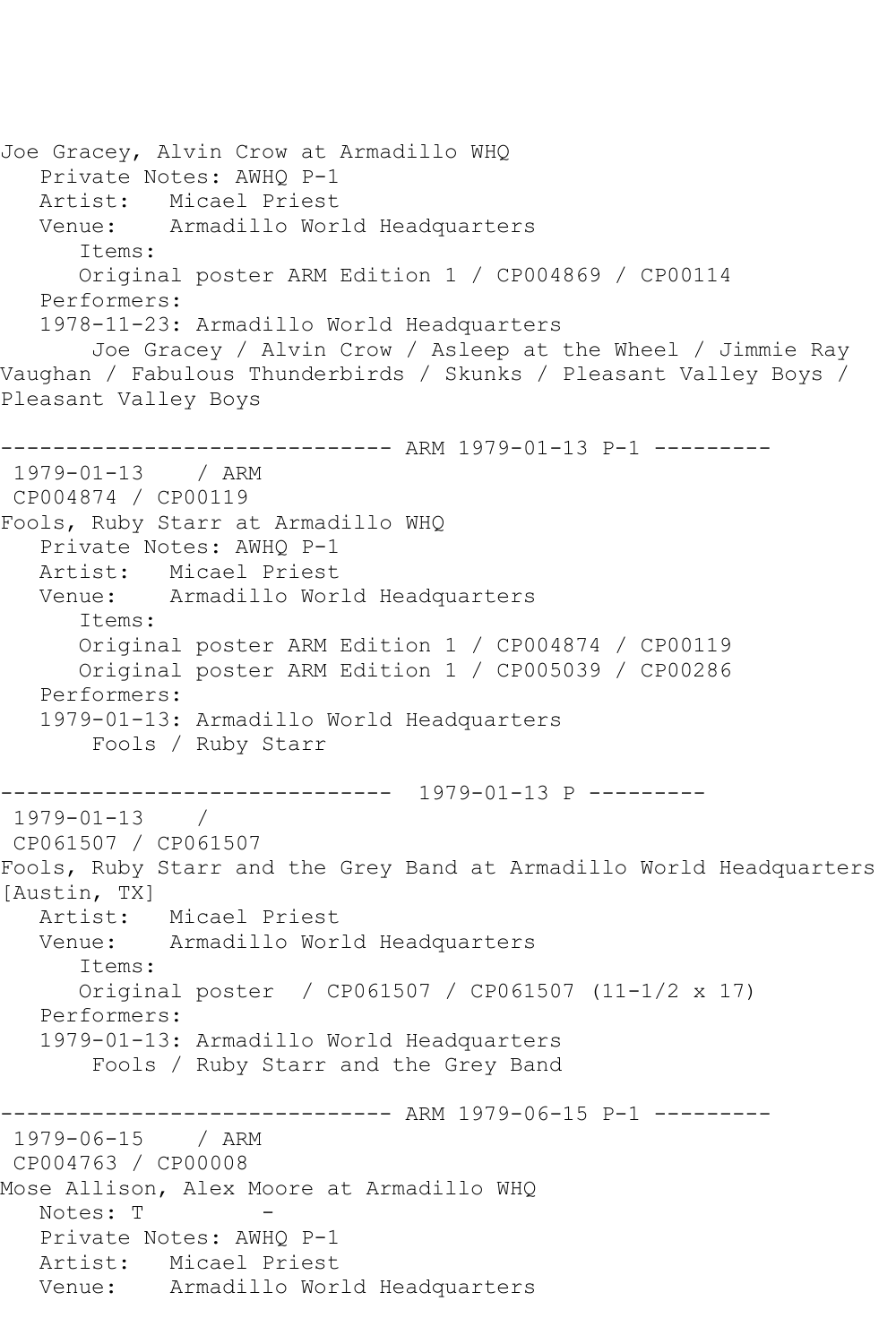Joe Gracey, Alvin Crow at Armadillo WHQ Private Notes: AWHQ P-1 Artist: Micael Priest Venue: Armadillo World Headquarters Items: Original poster ARM Edition 1 / CP004869 / CP00114 Performers: 1978-11-23: Armadillo World Headquarters Joe Gracey / Alvin Crow / Asleep at the Wheel / Jimmie Ray Vaughan / Fabulous Thunderbirds / Skunks / Pleasant Valley Boys / Pleasant Valley Boys ------------------------------ ARM 1979-01-13 P-1 --------- 1979-01-13 / ARM CP004874 / CP00119 Fools, Ruby Starr at Armadillo WHQ Private Notes: AWHQ P-1 Artist: Micael Priest Venue: Armadillo World Headquarters Items: Original poster ARM Edition 1 / CP004874 / CP00119 Original poster ARM Edition 1 / CP005039 / CP00286 Performers: 1979-01-13: Armadillo World Headquarters Fools / Ruby Starr ------------------------------ 1979-01-13 P --------- 1979-01-13 / CP061507 / CP061507 Fools, Ruby Starr and the Grey Band at Armadillo World Headquarters [Austin, TX] Artist: Micael Priest<br>Venue: Armadillo Wor Armadillo World Headquarters Items: Original poster / CP061507 / CP061507 (11-1/2 x 17) Performers: 1979-01-13: Armadillo World Headquarters Fools / Ruby Starr and the Grey Band ------------------------------ ARM 1979-06-15 P-1 --------- 1979-06-15 / ARM CP004763 / CP00008 Mose Allison, Alex Moore at Armadillo WHQ Notes: T Private Notes: AWHQ P-1 Artist: Micael Priest Venue: Armadillo World Headquarters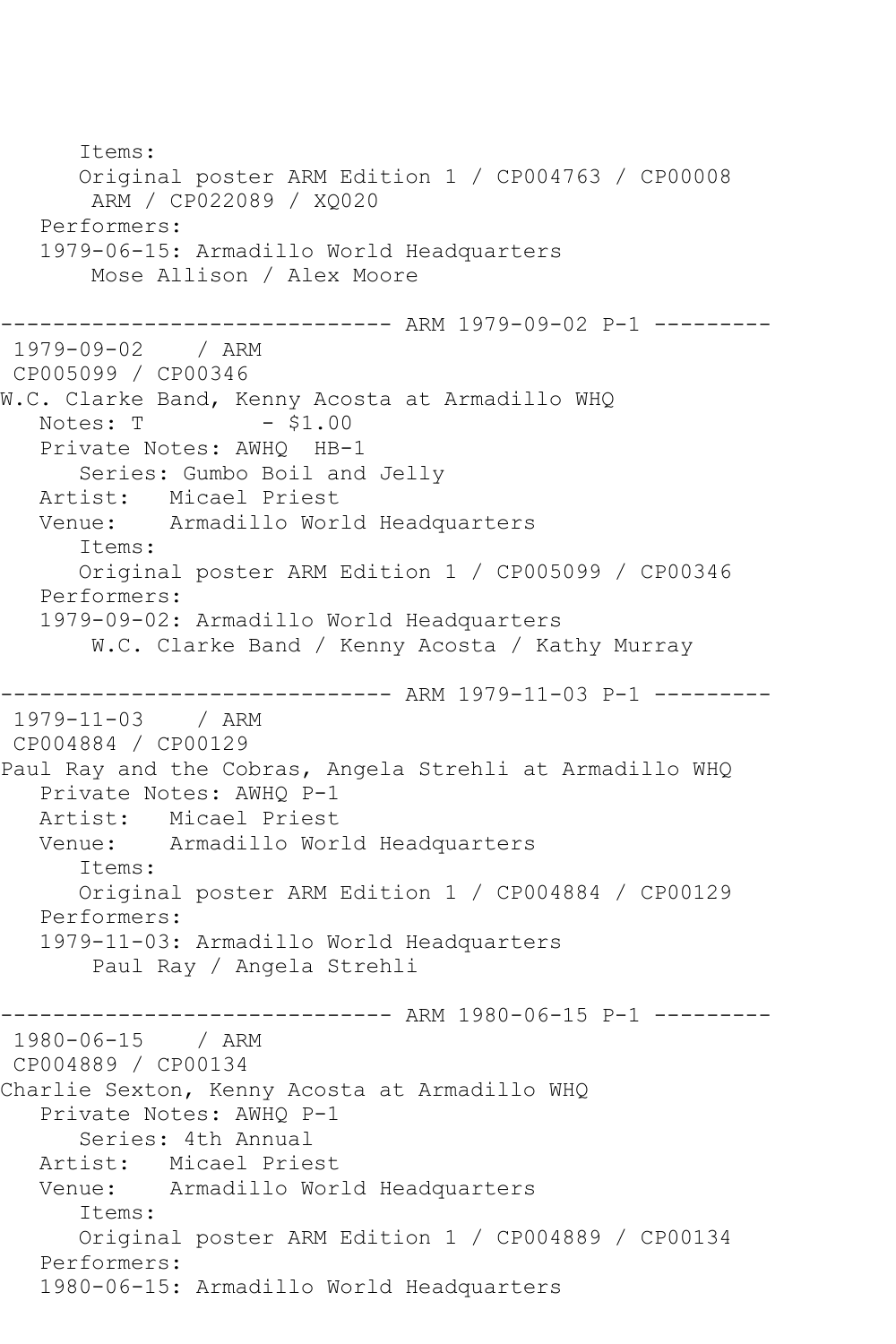Items: Original poster ARM Edition 1 / CP004763 / CP00008 ARM / CP022089 / XQ020 Performers: 1979-06-15: Armadillo World Headquarters Mose Allison / Alex Moore ------------------------------ ARM 1979-09-02 P-1 --------- 1979-09-02 / ARM CP005099 / CP00346 W.C. Clarke Band, Kenny Acosta at Armadillo WHQ<br>Notes: T - \$1.00 Notes: T Private Notes: AWHQ HB-1 Series: Gumbo Boil and Jelly Artist: Micael Priest Venue: Armadillo World Headquarters Items: Original poster ARM Edition 1 / CP005099 / CP00346 Performers: 1979-09-02: Armadillo World Headquarters W.C. Clarke Band / Kenny Acosta / Kathy Murray ------------------------------ ARM 1979-11-03 P-1 --------- 1979-11-03 / ARM CP004884 / CP00129 Paul Ray and the Cobras, Angela Strehli at Armadillo WHQ Private Notes: AWHQ P-1 Artist: Micael Priest Venue: Armadillo World Headquarters Items: Original poster ARM Edition 1 / CP004884 / CP00129 Performers: 1979-11-03: Armadillo World Headquarters Paul Ray / Angela Strehli ------------------------------ ARM 1980-06-15 P-1 --------- 1980-06-15 / ARM CP004889 / CP00134 Charlie Sexton, Kenny Acosta at Armadillo WHQ Private Notes: AWHQ P-1 Series: 4th Annual Artist: Micael Priest Venue: Armadillo World Headquarters Items: Original poster ARM Edition 1 / CP004889 / CP00134 Performers: 1980-06-15: Armadillo World Headquarters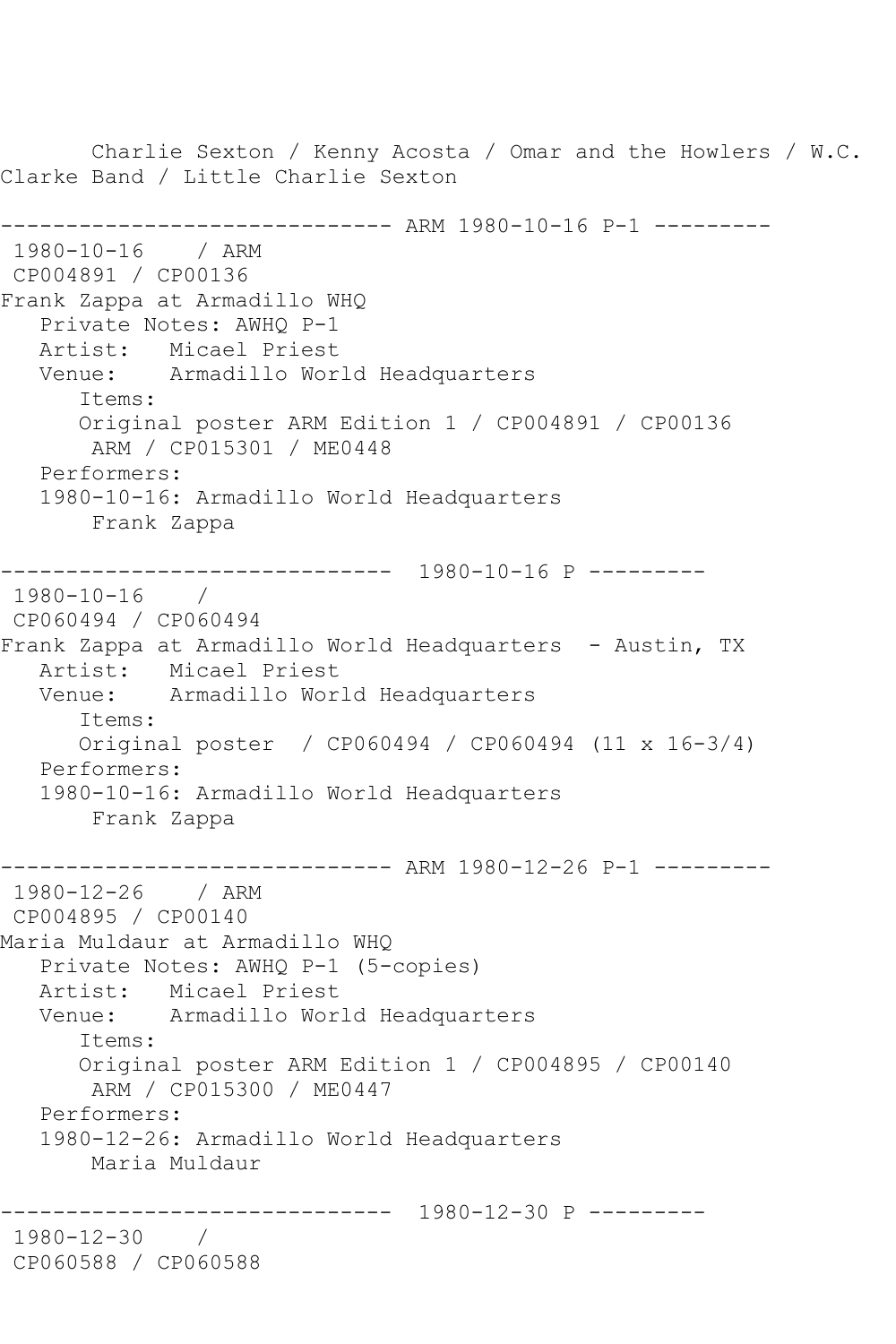Charlie Sexton / Kenny Acosta / Omar and the Howlers / W.C. Clarke Band / Little Charlie Sexton ------------------------------ ARM 1980-10-16 P-1 --------- 1980-10-16 / ARM CP004891 / CP00136 Frank Zappa at Armadillo WHQ Private Notes: AWHQ P-1 Artist: Micael Priest Venue: Armadillo World Headquarters Items: Original poster ARM Edition 1 / CP004891 / CP00136 ARM / CP015301 / ME0448 Performers: 1980-10-16: Armadillo World Headquarters Frank Zappa ------------------------------ 1980-10-16 P --------- 1980-10-16 / CP060494 / CP060494 Frank Zappa at Armadillo World Headquarters - Austin, TX Artist: Micael Priest Venue: Armadillo World Headquarters Items: Original poster / CP060494 / CP060494 (11 x 16-3/4) Performers: 1980-10-16: Armadillo World Headquarters Frank Zappa ------------------------------ ARM 1980-12-26 P-1 --------- 1980-12-26 / ARM CP004895 / CP00140 Maria Muldaur at Armadillo WHQ Private Notes: AWHQ P-1 (5-copies) Artist: Micael Priest Venue: Armadillo World Headquarters Items: Original poster ARM Edition 1 / CP004895 / CP00140 ARM / CP015300 / ME0447 Performers: 1980-12-26: Armadillo World Headquarters Maria Muldaur ------------------------------ 1980-12-30 P --------- 1980-12-30 / CP060588 / CP060588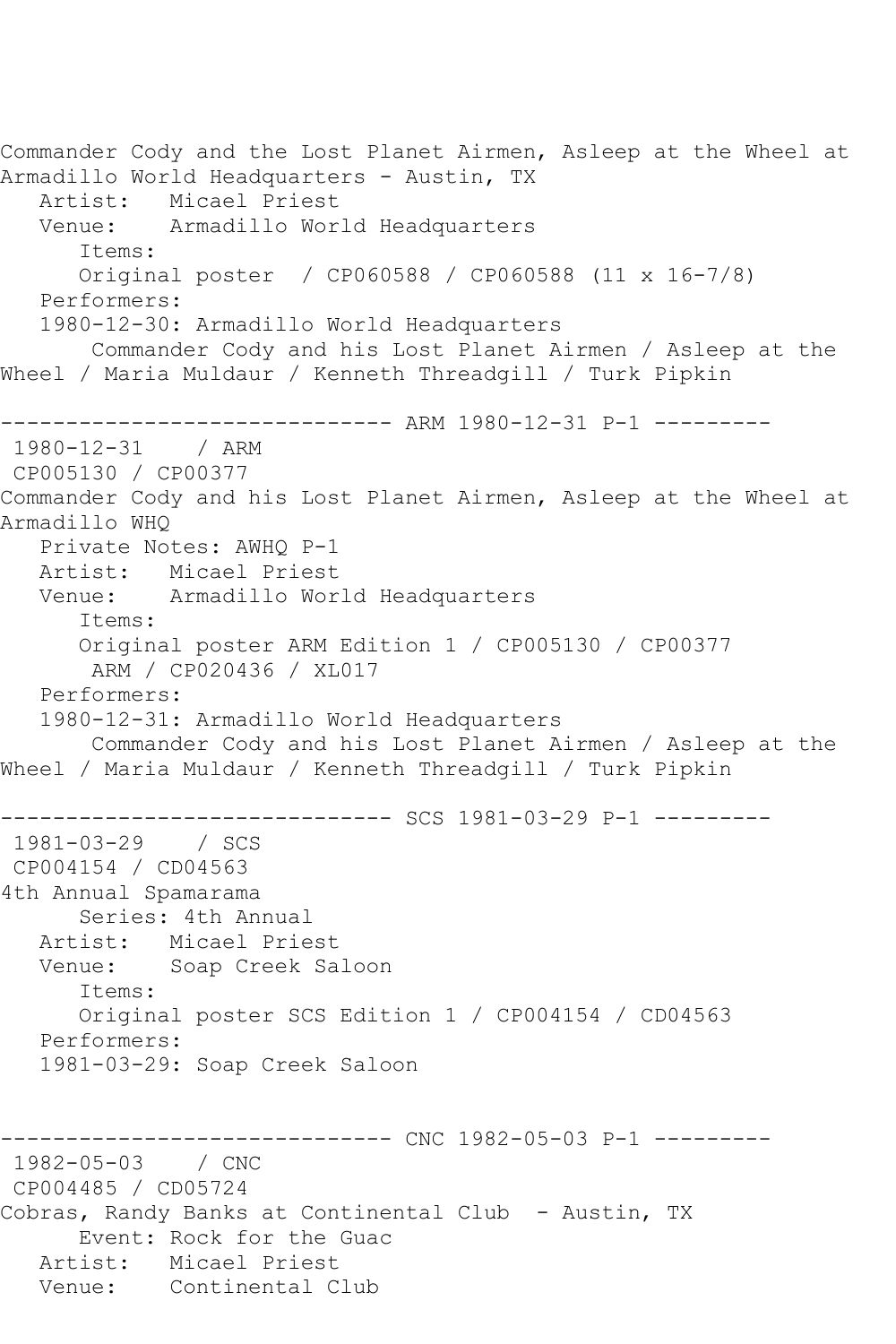Commander Cody and the Lost Planet Airmen, Asleep at the Wheel at Armadillo World Headquarters - Austin, TX Artist: Micael Priest Venue: Armadillo World Headquarters Items: Original poster / CP060588 / CP060588 (11 x 16-7/8) Performers: 1980-12-30: Armadillo World Headquarters Commander Cody and his Lost Planet Airmen / Asleep at the Wheel / Maria Muldaur / Kenneth Threadgill / Turk Pipkin ------------------------------ ARM 1980-12-31 P-1 --------- 1980-12-31 / ARM CP005130 / CP00377 Commander Cody and his Lost Planet Airmen, Asleep at the Wheel at Armadillo WHQ Private Notes: AWHQ P-1 Artist: Micael Priest Venue: Armadillo World Headquarters Items: Original poster ARM Edition 1 / CP005130 / CP00377 ARM / CP020436 / XL017 Performers: 1980-12-31: Armadillo World Headquarters Commander Cody and his Lost Planet Airmen / Asleep at the Wheel / Maria Muldaur / Kenneth Threadgill / Turk Pipkin ------------------------------ SCS 1981-03-29 P-1 --------- 1981-03-29 / SCS CP004154 / CD04563 4th Annual Spamarama Series: 4th Annual Artist: Micael Priest<br>Venue: Soap Creek Sa Soap Creek Saloon Items: Original poster SCS Edition 1 / CP004154 / CD04563 Performers: 1981-03-29: Soap Creek Saloon ------------------------------ CNC 1982-05-03 P-1 --------- 1982-05-03 / CNC CP004485 / CD05724 Cobras, Randy Banks at Continental Club - Austin, TX Event: Rock for the Guac Artist: Micael Priest Venue: Continental Club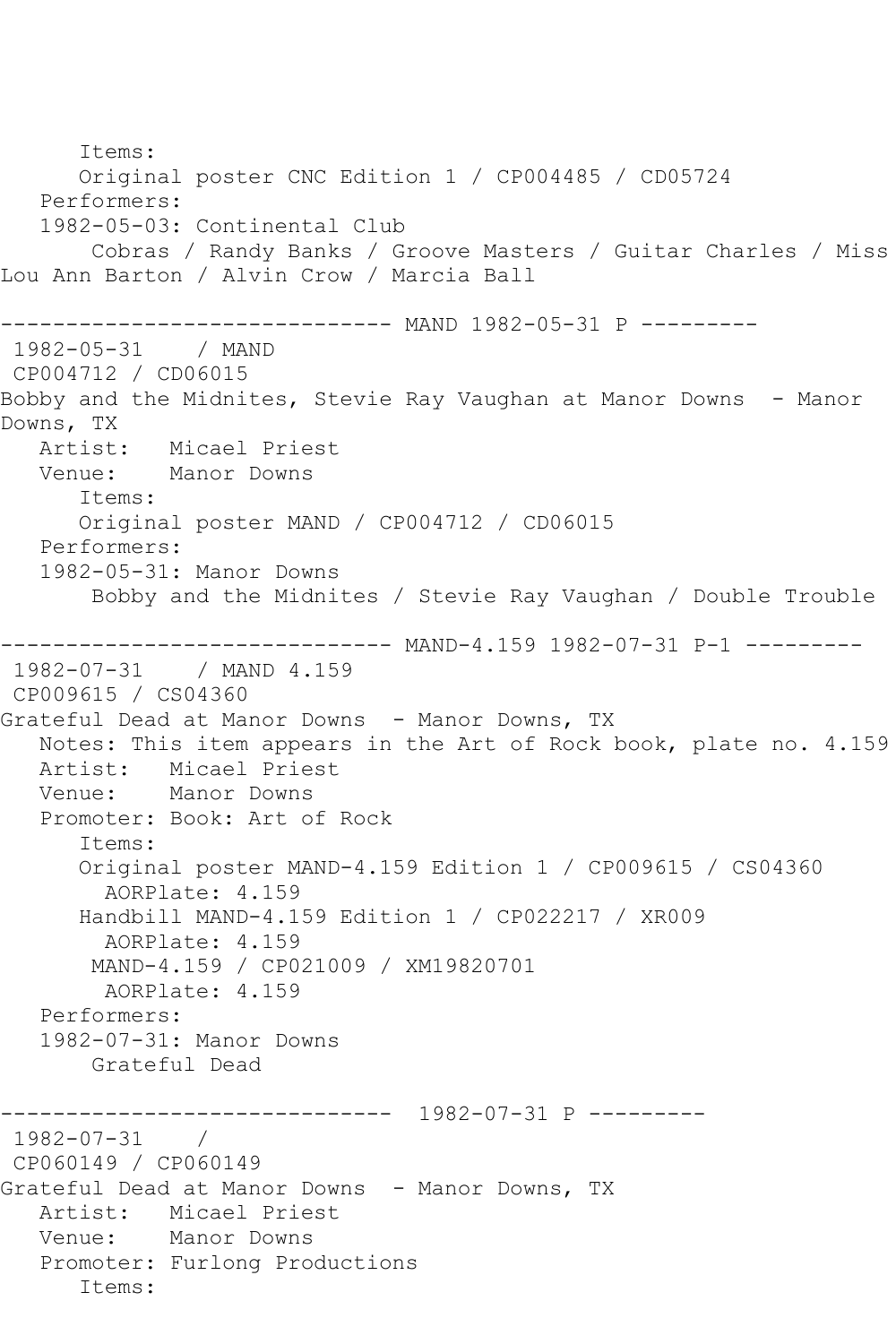Items: Original poster CNC Edition 1 / CP004485 / CD05724 Performers: 1982-05-03: Continental Club Cobras / Randy Banks / Groove Masters / Guitar Charles / Miss Lou Ann Barton / Alvin Crow / Marcia Ball ------------------------------ MAND 1982-05-31 P --------- 1982-05-31 / MAND CP004712 / CD06015 Bobby and the Midnites, Stevie Ray Vaughan at Manor Downs - Manor Downs, TX<br>Artist: Micael Priest Venue: Manor Downs Items: Original poster MAND / CP004712 / CD06015 Performers: 1982-05-31: Manor Downs Bobby and the Midnites / Stevie Ray Vaughan / Double Trouble ------------------------------ MAND-4.159 1982-07-31 P-1 --------- 1982-07-31 / MAND 4.159 CP009615 / CS04360 Grateful Dead at Manor Downs - Manor Downs, TX Notes: This item appears in the Art of Rock book, plate no. 4.159 Artist: Micael Priest Venue: Manor Downs Promoter: Book: Art of Rock Items: Original poster MAND-4.159 Edition 1 / CP009615 / CS04360 AORPlate: 4.159 Handbill MAND-4.159 Edition 1 / CP022217 / XR009 AORPlate: 4.159 MAND-4.159 / CP021009 / XM19820701 AORPlate: 4.159 Performers: 1982-07-31: Manor Downs Grateful Dead ------------------------------ 1982-07-31 P --------- 1982-07-31 / CP060149 / CP060149 Grateful Dead at Manor Downs - Manor Downs, TX Artist: Micael Priest Venue: Manor Downs Promoter: Furlong Productions Items: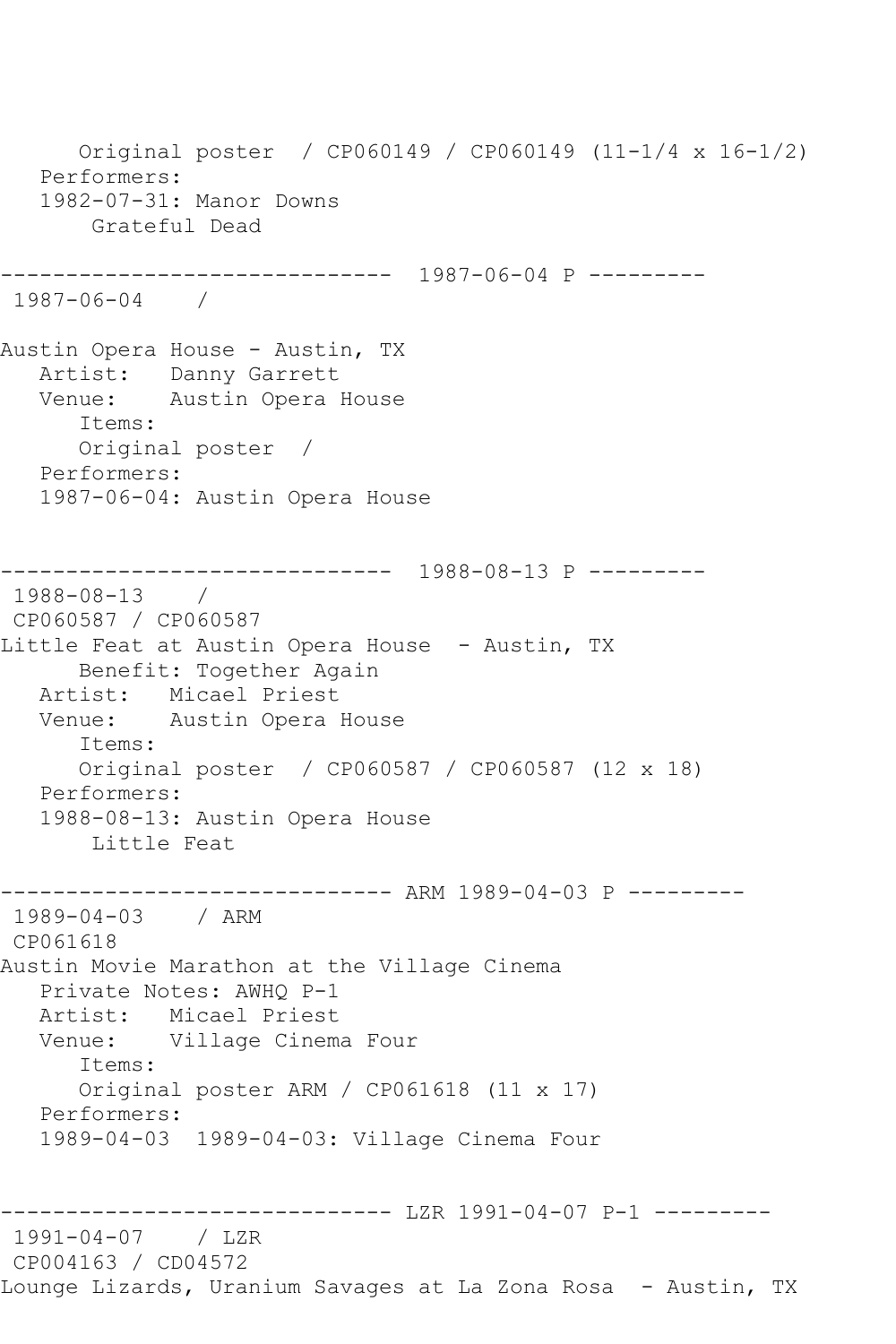Original poster / CP060149 / CP060149 (11-1/4 x 16-1/2) Performers: 1982-07-31: Manor Downs Grateful Dead ------------------------------ 1987-06-04 P --------- 1987-06-04 / Austin Opera House - Austin, TX Artist: Danny Garrett Venue: Austin Opera House Items: Original poster / Performers: 1987-06-04: Austin Opera House ------------------------------ 1988-08-13 P --------- 1988-08-13 / CP060587 / CP060587 Little Feat at Austin Opera House - Austin, TX Benefit: Together Again Artist: Micael Priest Venue: Austin Opera House Items: Original poster / CP060587 / CP060587 (12 x 18) Performers: 1988-08-13: Austin Opera House Little Feat ------------------------------ ARM 1989-04-03 P --------- 1989-04-03 / ARM CP061618 Austin Movie Marathon at the Village Cinema Private Notes: AWHQ P-1 Artist: Micael Priest Venue: Village Cinema Four Items: Original poster ARM / CP061618 (11 x 17) Performers: 1989-04-03 1989-04-03: Village Cinema Four ------------------------------ LZR 1991-04-07 P-1 --------- 1991-04-07 / LZR CP004163 / CD04572 Lounge Lizards, Uranium Savages at La Zona Rosa - Austin, TX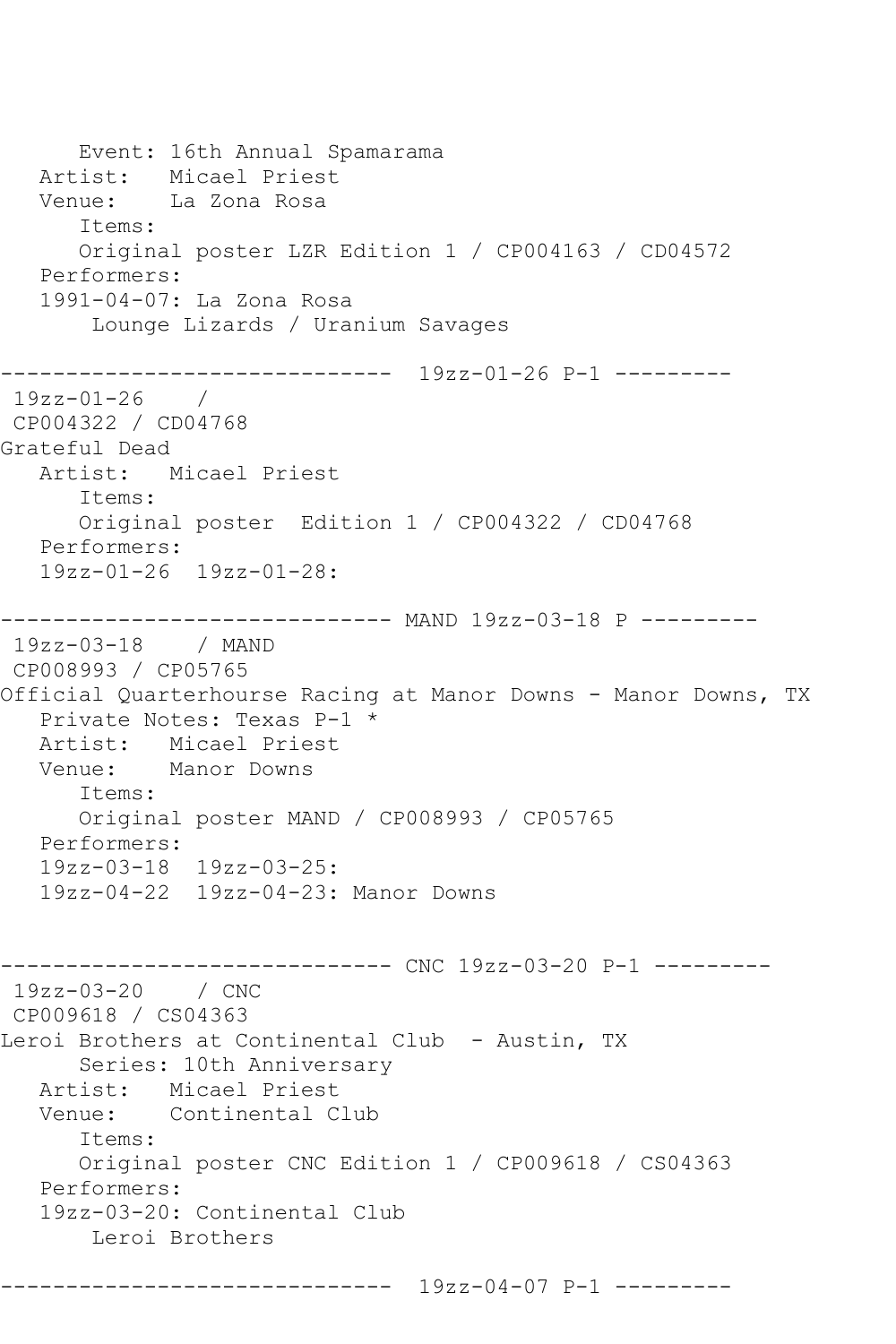Event: 16th Annual Spamarama Artist: Micael Priest Venue: La Zona Rosa Items: Original poster LZR Edition 1 / CP004163 / CD04572 Performers: 1991-04-07: La Zona Rosa Lounge Lizards / Uranium Savages ------------------------------ 19zz-01-26 P-1 --------- 19zz-01-26 / CP004322 / CD04768 Grateful Dead Artist: Micael Priest Items: Original poster Edition 1 / CP004322 / CD04768 Performers: 19zz-01-26 19zz-01-28: ------------------------------ MAND 19zz-03-18 P --------- 19zz-03-18 / MAND CP008993 / CP05765 Official Quarterhourse Racing at Manor Downs - Manor Downs, TX Private Notes: Texas P-1 \*<br>Artist: Micael Priest Artist: Micael Priest<br>Venue: Manor Downs Manor Downs Items: Original poster MAND / CP008993 / CP05765 Performers: 19zz-03-18 19zz-03-25: 19zz-04-22 19zz-04-23: Manor Downs ------------------------------ CNC 19zz-03-20 P-1 --------- 19zz-03-20 / CNC CP009618 / CS04363 Leroi Brothers at Continental Club - Austin, TX Series: 10th Anniversary Artist: Micael Priest<br>Venue: Continental C Continental Club Items: Original poster CNC Edition 1 / CP009618 / CS04363 Performers: 19zz-03-20: Continental Club Leroi Brothers ------------------------------ 19zz-04-07 P-1 ---------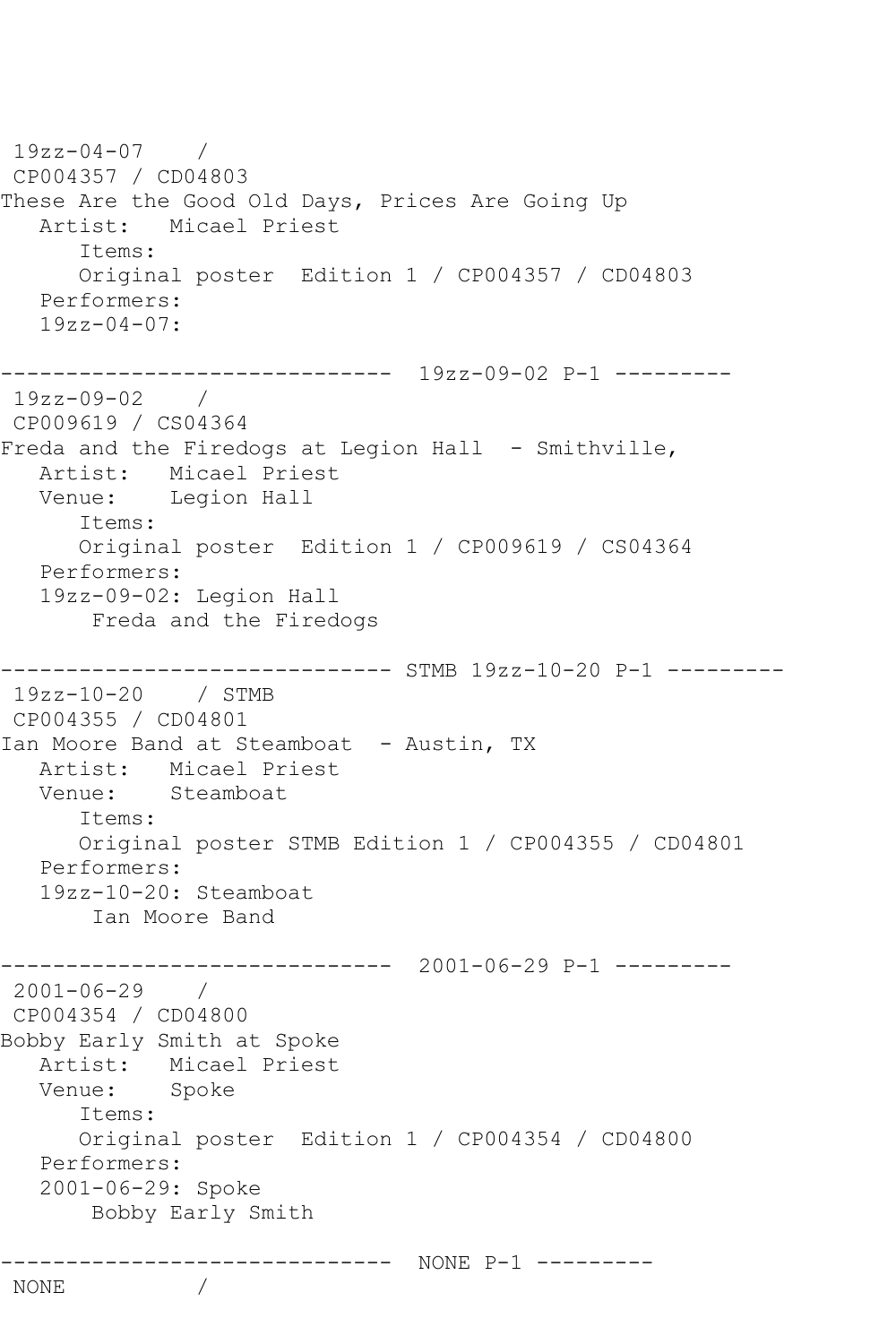```
19zz-04-07 / 
CP004357 / CD04803
These Are the Good Old Days, Prices Are Going Up
   Artist: Micael Priest
       Items:
       Original poster Edition 1 / CP004357 / CD04803
   Performers:
   19zz-04-07:
------------------------------ 19zz-09-02 P-1 ---------
19zz-09-02 / 
CP009619 / CS04364
Freda and the Firedogs at Legion Hall - Smithville,
   Artist: Micael Priest
   Venue: Legion Hall
       Items:
      Original poster Edition 1 / CP009619 / CS04364
   Performers:
   19zz-09-02: Legion Hall
        Freda and the Firedogs
   ------------------------------ STMB 19zz-10-20 P-1 ---------
19zz-10-20 / STMB 
CP004355 / CD04801
Ian Moore Band at Steamboat - Austin, TX
   Artist: Micael Priest
   Venue: Steamboat
       Items:
      Original poster STMB Edition 1 / CP004355 / CD04801
   Performers:
   19zz-10-20: Steamboat
        Ian Moore Band
      ------------------------------ 2001-06-29 P-1 ---------
2001-06-29 / 
CP004354 / CD04800
Bobby Early Smith at Spoke
   Artist: Micael Priest
   Venue: Spoke
       Items:
      Original poster Edition 1 / CP004354 / CD04800
   Performers:
   2001-06-29: Spoke
        Bobby Early Smith
           ------------------------------ NONE P-1 ---------
NONE /
```